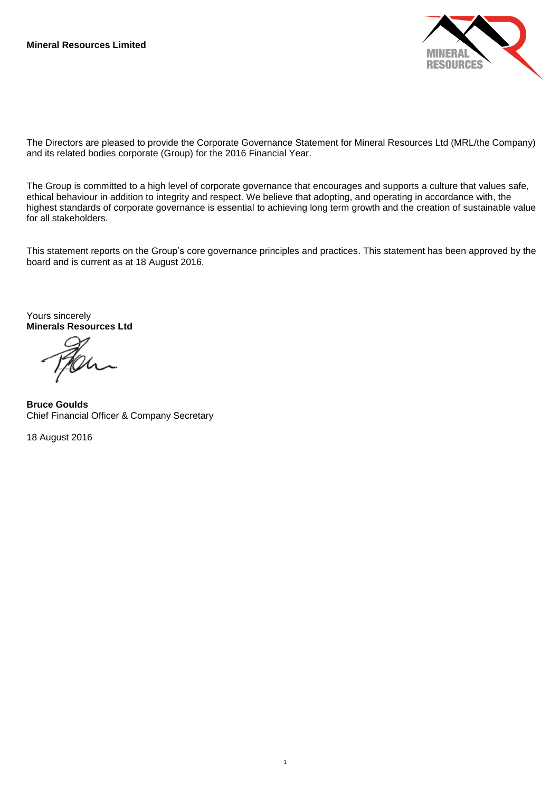

The Directors are pleased to provide the Corporate Governance Statement for Mineral Resources Ltd (MRL/the Company) and its related bodies corporate (Group) for the 2016 Financial Year.

The Group is committed to a high level of corporate governance that encourages and supports a culture that values safe, ethical behaviour in addition to integrity and respect. We believe that adopting, and operating in accordance with, the highest standards of corporate governance is essential to achieving long term growth and the creation of sustainable value for all stakeholders.

This statement reports on the Group's core governance principles and practices. This statement has been approved by the board and is current as at 18 August 2016.

1

Yours sincerely **Minerals Resources Ltd**

**Bruce Goulds** Chief Financial Officer & Company Secretary

18 August 2016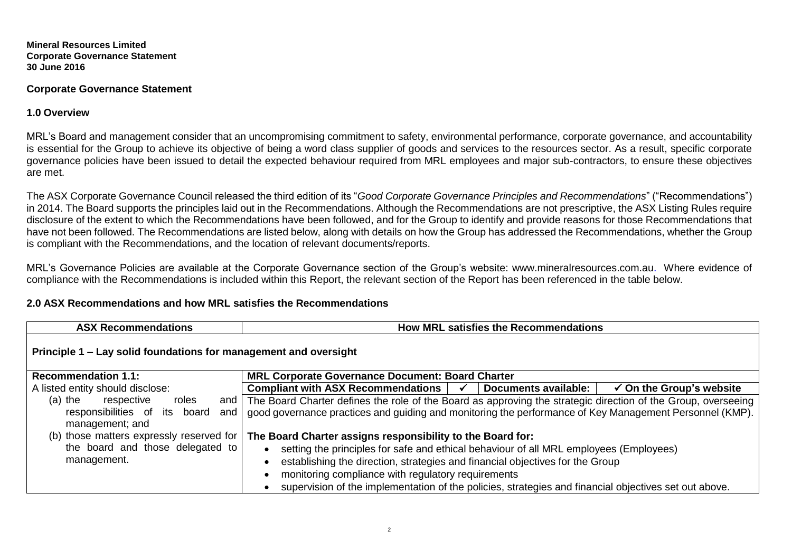## **Corporate Governance Statement**

**1.0 Overview**

MRL's Board and management consider that an uncompromising commitment to safety, environmental performance, corporate governance, and accountability is essential for the Group to achieve its objective of being a word class supplier of goods and services to the resources sector. As a result, specific corporate governance policies have been issued to detail the expected behaviour required from MRL employees and major sub-contractors, to ensure these objectives are met.

The ASX Corporate Governance Council released the third edition of its "*Good Corporate Governance Principles and Recommendations*" ("Recommendations") in 2014. The Board supports the principles laid out in the Recommendations. Although the Recommendations are not prescriptive, the ASX Listing Rules require disclosure of the extent to which the Recommendations have been followed, and for the Group to identify and provide reasons for those Recommendations that have not been followed. The Recommendations are listed below, along with details on how the Group has addressed the Recommendations, whether the Group is compliant with the Recommendations, and the location of relevant documents/reports.

MRL's Governance Policies are available at the Corporate Governance section of the Group's website: www.mineralresources.com.au. Where evidence of compliance with the Recommendations is included within this Report, the relevant section of the Report has been referenced in the table below.

# **2.0 ASX Recommendations and how MRL satisfies the Recommendations**

| <b>ASX Recommendations</b>                                                                  | How MRL satisfies the Recommendations                                                                                                                                                                                                                                                                                                  |  |  |  |  |  |
|---------------------------------------------------------------------------------------------|----------------------------------------------------------------------------------------------------------------------------------------------------------------------------------------------------------------------------------------------------------------------------------------------------------------------------------------|--|--|--|--|--|
| Principle 1 – Lay solid foundations for management and oversight                            |                                                                                                                                                                                                                                                                                                                                        |  |  |  |  |  |
| <b>Recommendation 1.1:</b>                                                                  | <b>MRL Corporate Governance Document: Board Charter</b>                                                                                                                                                                                                                                                                                |  |  |  |  |  |
| A listed entity should disclose:                                                            | Compliant with ASX Recommendations  <br>Documents available:<br>$\checkmark$ On the Group's website<br>$\checkmark$                                                                                                                                                                                                                    |  |  |  |  |  |
| $(a)$ the<br>respective<br>roles<br>responsibilities of its board<br>and<br>management; and | and The Board Charter defines the role of the Board as approving the strategic direction of the Group, overseeing<br>good governance practices and guiding and monitoring the performance of Key Management Personnel (KMP).                                                                                                           |  |  |  |  |  |
| (b) those matters expressly reserved for                                                    | The Board Charter assigns responsibility to the Board for:                                                                                                                                                                                                                                                                             |  |  |  |  |  |
| the board and those delegated to<br>management.                                             | setting the principles for safe and ethical behaviour of all MRL employees (Employees)<br>establishing the direction, strategies and financial objectives for the Group<br>monitoring compliance with regulatory requirements<br>supervision of the implementation of the policies, strategies and financial objectives set out above. |  |  |  |  |  |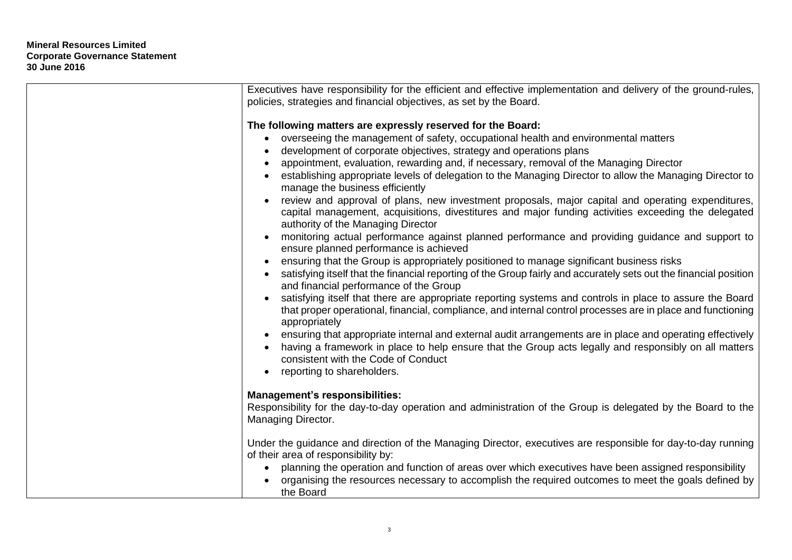| Executives have responsibility for the efficient and effective implementation and delivery of the ground-rules,                                                                                                                          |
|------------------------------------------------------------------------------------------------------------------------------------------------------------------------------------------------------------------------------------------|
| policies, strategies and financial objectives, as set by the Board.                                                                                                                                                                      |
|                                                                                                                                                                                                                                          |
| The following matters are expressly reserved for the Board:                                                                                                                                                                              |
| overseeing the management of safety, occupational health and environmental matters<br>$\bullet$                                                                                                                                          |
| development of corporate objectives, strategy and operations plans                                                                                                                                                                       |
| appointment, evaluation, rewarding and, if necessary, removal of the Managing Director                                                                                                                                                   |
| establishing appropriate levels of delegation to the Managing Director to allow the Managing Director to<br>manage the business efficiently                                                                                              |
| review and approval of plans, new investment proposals, major capital and operating expenditures,                                                                                                                                        |
| capital management, acquisitions, divestitures and major funding activities exceeding the delegated<br>authority of the Managing Director                                                                                                |
| monitoring actual performance against planned performance and providing guidance and support to                                                                                                                                          |
| ensure planned performance is achieved                                                                                                                                                                                                   |
| ensuring that the Group is appropriately positioned to manage significant business risks                                                                                                                                                 |
| satisfying itself that the financial reporting of the Group fairly and accurately sets out the financial position<br>and financial performance of the Group                                                                              |
| satisfying itself that there are appropriate reporting systems and controls in place to assure the Board<br>that proper operational, financial, compliance, and internal control processes are in place and functioning<br>appropriately |
| ensuring that appropriate internal and external audit arrangements are in place and operating effectively<br>$\bullet$                                                                                                                   |
| having a framework in place to help ensure that the Group acts legally and responsibly on all matters<br>consistent with the Code of Conduct                                                                                             |
| reporting to shareholders.                                                                                                                                                                                                               |
|                                                                                                                                                                                                                                          |
| <b>Management's responsibilities:</b>                                                                                                                                                                                                    |
| Responsibility for the day-to-day operation and administration of the Group is delegated by the Board to the                                                                                                                             |
| Managing Director.                                                                                                                                                                                                                       |
| Under the guidance and direction of the Managing Director, executives are responsible for day-to-day running                                                                                                                             |
| of their area of responsibility by:                                                                                                                                                                                                      |
| planning the operation and function of areas over which executives have been assigned responsibility<br>$\bullet$                                                                                                                        |
| organising the resources necessary to accomplish the required outcomes to meet the goals defined by<br>the Board                                                                                                                         |
|                                                                                                                                                                                                                                          |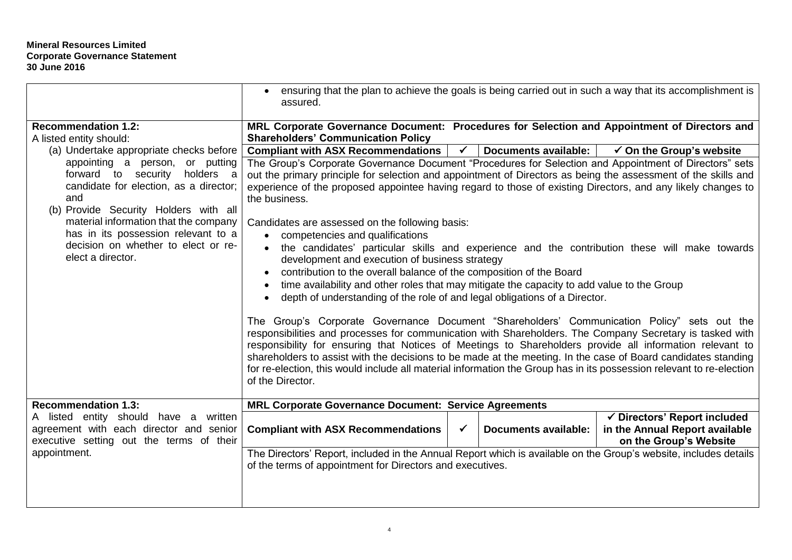|                                                                                                                                                                                                           | ensuring that the plan to achieve the goals is being carried out in such a way that its accomplishment is<br>assured.                                                                                                                                                                                                                                                                                                                                                                                                                                                            |              |                             |                                                                                          |  |  |
|-----------------------------------------------------------------------------------------------------------------------------------------------------------------------------------------------------------|----------------------------------------------------------------------------------------------------------------------------------------------------------------------------------------------------------------------------------------------------------------------------------------------------------------------------------------------------------------------------------------------------------------------------------------------------------------------------------------------------------------------------------------------------------------------------------|--------------|-----------------------------|------------------------------------------------------------------------------------------|--|--|
| <b>Recommendation 1.2:</b><br>A listed entity should:                                                                                                                                                     | MRL Corporate Governance Document: Procedures for Selection and Appointment of Directors and<br><b>Shareholders' Communication Policy</b>                                                                                                                                                                                                                                                                                                                                                                                                                                        |              |                             |                                                                                          |  |  |
| (a) Undertake appropriate checks before                                                                                                                                                                   | <b>Compliant with ASX Recommendations</b>                                                                                                                                                                                                                                                                                                                                                                                                                                                                                                                                        | $\sqrt{2}$   | Documents available:        | $\checkmark$ On the Group's website                                                      |  |  |
| or putting<br>appointing a person,<br>holders a<br>forward to security<br>candidate for election, as a director;<br>and<br>(b) Provide Security Holders with all<br>material information that the company | The Group's Corporate Governance Document "Procedures for Selection and Appointment of Directors" sets<br>out the primary principle for selection and appointment of Directors as being the assessment of the skills and<br>experience of the proposed appointee having regard to those of existing Directors, and any likely changes to<br>the business.<br>Candidates are assessed on the following basis:                                                                                                                                                                     |              |                             |                                                                                          |  |  |
| has in its possession relevant to a<br>decision on whether to elect or re-<br>elect a director.                                                                                                           | competencies and qualifications<br>the candidates' particular skills and experience and the contribution these will make towards<br>development and execution of business strategy<br>contribution to the overall balance of the composition of the Board<br>time availability and other roles that may mitigate the capacity to add value to the Group<br>depth of understanding of the role of and legal obligations of a Director.                                                                                                                                            |              |                             |                                                                                          |  |  |
|                                                                                                                                                                                                           | The Group's Corporate Governance Document "Shareholders' Communication Policy" sets out the<br>responsibilities and processes for communication with Shareholders. The Company Secretary is tasked with<br>responsibility for ensuring that Notices of Meetings to Shareholders provide all information relevant to<br>shareholders to assist with the decisions to be made at the meeting. In the case of Board candidates standing<br>for re-election, this would include all material information the Group has in its possession relevant to re-election<br>of the Director. |              |                             |                                                                                          |  |  |
| <b>Recommendation 1.3:</b>                                                                                                                                                                                | <b>MRL Corporate Governance Document: Service Agreements</b>                                                                                                                                                                                                                                                                                                                                                                                                                                                                                                                     |              |                             |                                                                                          |  |  |
| A listed entity should have a<br>written<br>agreement with each director and senior<br>executive setting out the terms of their                                                                           | <b>Compliant with ASX Recommendations</b>                                                                                                                                                                                                                                                                                                                                                                                                                                                                                                                                        | $\checkmark$ | <b>Documents available:</b> | √ Directors' Report included<br>in the Annual Report available<br>on the Group's Website |  |  |
| appointment.                                                                                                                                                                                              | The Directors' Report, included in the Annual Report which is available on the Group's website, includes details<br>of the terms of appointment for Directors and executives.                                                                                                                                                                                                                                                                                                                                                                                                    |              |                             |                                                                                          |  |  |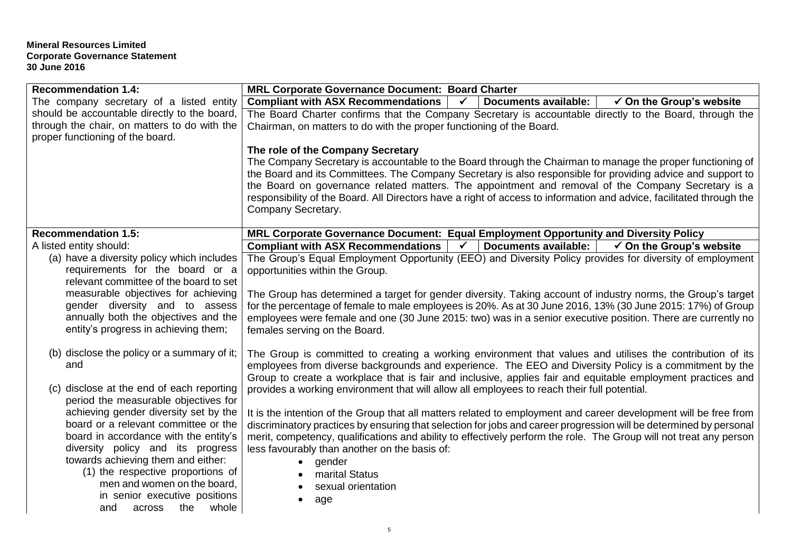| <b>Recommendation 1.4:</b>                                                    | MRL Corporate Governance Document: Board Charter                                                                                                                                                                                                               |  |  |  |  |  |  |  |
|-------------------------------------------------------------------------------|----------------------------------------------------------------------------------------------------------------------------------------------------------------------------------------------------------------------------------------------------------------|--|--|--|--|--|--|--|
| The company secretary of a listed entity                                      | Compliant with ASX Recommendations  <br><b>Documents available:</b><br>$\checkmark$ On the Group's website<br>$\checkmark$                                                                                                                                     |  |  |  |  |  |  |  |
| should be accountable directly to the board,                                  | The Board Charter confirms that the Company Secretary is accountable directly to the Board, through the                                                                                                                                                        |  |  |  |  |  |  |  |
| through the chair, on matters to do with the                                  | Chairman, on matters to do with the proper functioning of the Board.                                                                                                                                                                                           |  |  |  |  |  |  |  |
| proper functioning of the board.                                              |                                                                                                                                                                                                                                                                |  |  |  |  |  |  |  |
|                                                                               | The role of the Company Secretary                                                                                                                                                                                                                              |  |  |  |  |  |  |  |
|                                                                               | The Company Secretary is accountable to the Board through the Chairman to manage the proper functioning of<br>the Board and its Committees. The Company Secretary is also responsible for providing advice and support to                                      |  |  |  |  |  |  |  |
|                                                                               | the Board on governance related matters. The appointment and removal of the Company Secretary is a                                                                                                                                                             |  |  |  |  |  |  |  |
|                                                                               | responsibility of the Board. All Directors have a right of access to information and advice, facilitated through the                                                                                                                                           |  |  |  |  |  |  |  |
|                                                                               | Company Secretary.                                                                                                                                                                                                                                             |  |  |  |  |  |  |  |
|                                                                               |                                                                                                                                                                                                                                                                |  |  |  |  |  |  |  |
| <b>Recommendation 1.5:</b>                                                    | MRL Corporate Governance Document: Equal Employment Opportunity and Diversity Policy                                                                                                                                                                           |  |  |  |  |  |  |  |
| A listed entity should:                                                       | $\checkmark$<br><b>Documents available:</b><br><b>Compliant with ASX Recommendations</b><br>$\checkmark$ On the Group's website                                                                                                                                |  |  |  |  |  |  |  |
| (a) have a diversity policy which includes<br>requirements for the board or a | The Group's Equal Employment Opportunity (EEO) and Diversity Policy provides for diversity of employment                                                                                                                                                       |  |  |  |  |  |  |  |
| relevant committee of the board to set                                        | opportunities within the Group.<br>The Group has determined a target for gender diversity. Taking account of industry norms, the Group's target<br>for the percentage of female to male employees is 20%. As at 30 June 2016, 13% (30 June 2015: 17%) of Group |  |  |  |  |  |  |  |
| measurable objectives for achieving                                           |                                                                                                                                                                                                                                                                |  |  |  |  |  |  |  |
| gender diversity and to assess                                                |                                                                                                                                                                                                                                                                |  |  |  |  |  |  |  |
| annually both the objectives and the                                          | employees were female and one (30 June 2015: two) was in a senior executive position. There are currently no                                                                                                                                                   |  |  |  |  |  |  |  |
| entity's progress in achieving them;                                          | females serving on the Board.                                                                                                                                                                                                                                  |  |  |  |  |  |  |  |
|                                                                               |                                                                                                                                                                                                                                                                |  |  |  |  |  |  |  |
| (b) disclose the policy or a summary of it;                                   | The Group is committed to creating a working environment that values and utilises the contribution of its                                                                                                                                                      |  |  |  |  |  |  |  |
| and                                                                           | employees from diverse backgrounds and experience. The EEO and Diversity Policy is a commitment by the<br>Group to create a workplace that is fair and inclusive, applies fair and equitable employment practices and                                          |  |  |  |  |  |  |  |
| (c) disclose at the end of each reporting                                     | provides a working environment that will allow all employees to reach their full potential.                                                                                                                                                                    |  |  |  |  |  |  |  |
| period the measurable objectives for                                          |                                                                                                                                                                                                                                                                |  |  |  |  |  |  |  |
| achieving gender diversity set by the                                         | It is the intention of the Group that all matters related to employment and career development will be free from                                                                                                                                               |  |  |  |  |  |  |  |
| board or a relevant committee or the                                          | discriminatory practices by ensuring that selection for jobs and career progression will be determined by personal                                                                                                                                             |  |  |  |  |  |  |  |
| board in accordance with the entity's                                         | merit, competency, qualifications and ability to effectively perform the role. The Group will not treat any person                                                                                                                                             |  |  |  |  |  |  |  |
| diversity policy and its progress                                             | less favourably than another on the basis of:                                                                                                                                                                                                                  |  |  |  |  |  |  |  |
| towards achieving them and either:<br>(1) the respective proportions of       | • gender                                                                                                                                                                                                                                                       |  |  |  |  |  |  |  |
| men and women on the board,                                                   | marital Status<br>sexual orientation                                                                                                                                                                                                                           |  |  |  |  |  |  |  |
| in senior executive positions                                                 |                                                                                                                                                                                                                                                                |  |  |  |  |  |  |  |
| and across<br>the whole                                                       | age                                                                                                                                                                                                                                                            |  |  |  |  |  |  |  |
|                                                                               |                                                                                                                                                                                                                                                                |  |  |  |  |  |  |  |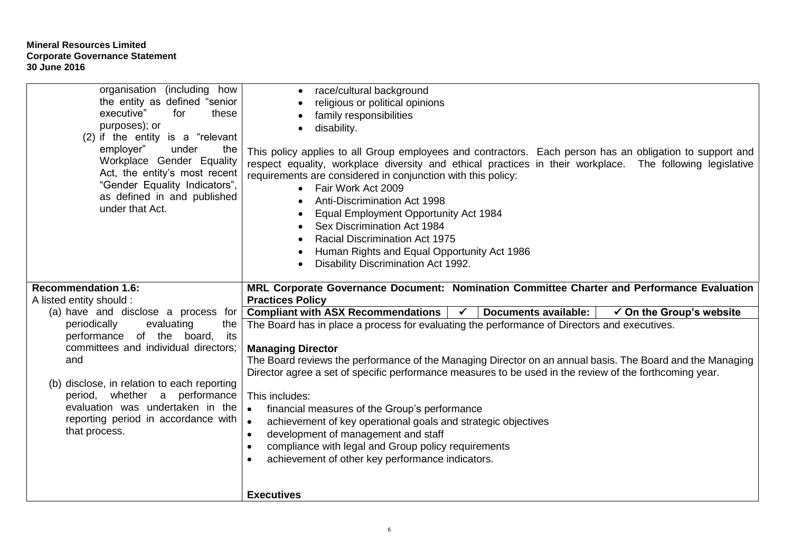| organisation (including how<br>the entity as defined "senior"<br>executive"<br>these<br>for<br>purposes); or<br>$(2)$ if the entity is a "relevant"<br>under<br>employer"<br>the<br>Workplace Gender Equality<br>Act, the entity's most recent<br>"Gender Equality Indicators",<br>as defined in and published<br>under that Act. | race/cultural background<br>religious or political opinions<br>family responsibilities<br>disability.<br>This policy applies to all Group employees and contractors. Each person has an obligation to support and<br>respect equality, workplace diversity and ethical practices in their workplace. The following legislative<br>requirements are considered in conjunction with this policy:<br>• Fair Work Act 2009<br>Anti-Discrimination Act 1998<br>Equal Employment Opportunity Act 1984<br>Sex Discrimination Act 1984<br><b>Racial Discrimination Act 1975</b><br>Human Rights and Equal Opportunity Act 1986<br>Disability Discrimination Act 1992.    |
|-----------------------------------------------------------------------------------------------------------------------------------------------------------------------------------------------------------------------------------------------------------------------------------------------------------------------------------|------------------------------------------------------------------------------------------------------------------------------------------------------------------------------------------------------------------------------------------------------------------------------------------------------------------------------------------------------------------------------------------------------------------------------------------------------------------------------------------------------------------------------------------------------------------------------------------------------------------------------------------------------------------|
| <b>Recommendation 1.6:</b>                                                                                                                                                                                                                                                                                                        | MRL Corporate Governance Document: Nomination Committee Charter and Performance Evaluation                                                                                                                                                                                                                                                                                                                                                                                                                                                                                                                                                                       |
| A listed entity should :<br>(a) have and disclose a process for                                                                                                                                                                                                                                                                   | <b>Practices Policy</b><br><b>Compliant with ASX Recommendations</b><br><b>Documents available:</b><br>$\checkmark$ On the Group's website<br>$\checkmark$                                                                                                                                                                                                                                                                                                                                                                                                                                                                                                       |
| periodically<br>evaluating<br>the<br>performance of the board,<br>its<br>committees and individual directors;<br>and<br>(b) disclose, in relation to each reporting<br>period, whether a<br>performance<br>evaluation was undertaken in the<br>reporting period in accordance with<br>that process.                               | The Board has in place a process for evaluating the performance of Directors and executives.<br><b>Managing Director</b><br>The Board reviews the performance of the Managing Director on an annual basis. The Board and the Managing<br>Director agree a set of specific performance measures to be used in the review of the forthcoming year.<br>This includes:<br>financial measures of the Group's performance<br>$\bullet$<br>achievement of key operational goals and strategic objectives<br>$\bullet$<br>development of management and staff<br>compliance with legal and Group policy requirements<br>achievement of other key performance indicators. |
|                                                                                                                                                                                                                                                                                                                                   | <b>Executives</b>                                                                                                                                                                                                                                                                                                                                                                                                                                                                                                                                                                                                                                                |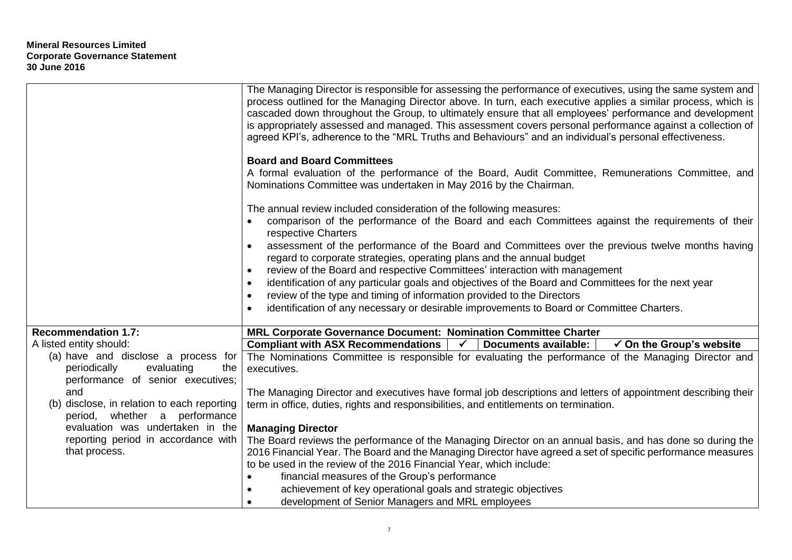|                                                                                                                          | The Managing Director is responsible for assessing the performance of executives, using the same system and<br>process outlined for the Managing Director above. In turn, each executive applies a similar process, which is<br>cascaded down throughout the Group, to ultimately ensure that all employees' performance and development<br>is appropriately assessed and managed. This assessment covers personal performance against a collection of<br>agreed KPI's, adherence to the "MRL Truths and Behaviours" and an individual's personal effectiveness.                                                                                                                                                                                                                                         |
|--------------------------------------------------------------------------------------------------------------------------|----------------------------------------------------------------------------------------------------------------------------------------------------------------------------------------------------------------------------------------------------------------------------------------------------------------------------------------------------------------------------------------------------------------------------------------------------------------------------------------------------------------------------------------------------------------------------------------------------------------------------------------------------------------------------------------------------------------------------------------------------------------------------------------------------------|
|                                                                                                                          | <b>Board and Board Committees</b><br>A formal evaluation of the performance of the Board, Audit Committee, Remunerations Committee, and<br>Nominations Committee was undertaken in May 2016 by the Chairman.                                                                                                                                                                                                                                                                                                                                                                                                                                                                                                                                                                                             |
|                                                                                                                          | The annual review included consideration of the following measures:<br>comparison of the performance of the Board and each Committees against the requirements of their<br>respective Charters<br>assessment of the performance of the Board and Committees over the previous twelve months having<br>$\bullet$<br>regard to corporate strategies, operating plans and the annual budget<br>review of the Board and respective Committees' interaction with management<br>$\bullet$<br>identification of any particular goals and objectives of the Board and Committees for the next year<br>$\bullet$<br>review of the type and timing of information provided to the Directors<br>$\bullet$<br>identification of any necessary or desirable improvements to Board or Committee Charters.<br>$\bullet$ |
| <b>Recommendation 1.7:</b>                                                                                               | MRL Corporate Governance Document: Nomination Committee Charter                                                                                                                                                                                                                                                                                                                                                                                                                                                                                                                                                                                                                                                                                                                                          |
| A listed entity should:                                                                                                  | $\overline{\sqrt{2}}$<br><b>Compliant with ASX Recommendations</b><br><b>Documents available:</b><br>$\checkmark$ On the Group's website                                                                                                                                                                                                                                                                                                                                                                                                                                                                                                                                                                                                                                                                 |
| (a) have and disclose a process for<br>periodically<br>evaluating<br>the                                                 | The Nominations Committee is responsible for evaluating the performance of the Managing Director and<br>executives.                                                                                                                                                                                                                                                                                                                                                                                                                                                                                                                                                                                                                                                                                      |
| performance of senior executives;<br>and<br>(b) disclose, in relation to each reporting<br>period, whether a performance | The Managing Director and executives have formal job descriptions and letters of appointment describing their<br>term in office, duties, rights and responsibilities, and entitlements on termination.                                                                                                                                                                                                                                                                                                                                                                                                                                                                                                                                                                                                   |
| evaluation was undertaken in the                                                                                         | <b>Managing Director</b>                                                                                                                                                                                                                                                                                                                                                                                                                                                                                                                                                                                                                                                                                                                                                                                 |
| reporting period in accordance with<br>that process.                                                                     | The Board reviews the performance of the Managing Director on an annual basis, and has done so during the<br>2016 Financial Year. The Board and the Managing Director have agreed a set of specific performance measures                                                                                                                                                                                                                                                                                                                                                                                                                                                                                                                                                                                 |
|                                                                                                                          | to be used in the review of the 2016 Financial Year, which include:                                                                                                                                                                                                                                                                                                                                                                                                                                                                                                                                                                                                                                                                                                                                      |
|                                                                                                                          | financial measures of the Group's performance                                                                                                                                                                                                                                                                                                                                                                                                                                                                                                                                                                                                                                                                                                                                                            |
|                                                                                                                          | achievement of key operational goals and strategic objectives                                                                                                                                                                                                                                                                                                                                                                                                                                                                                                                                                                                                                                                                                                                                            |
|                                                                                                                          | development of Senior Managers and MRL employees                                                                                                                                                                                                                                                                                                                                                                                                                                                                                                                                                                                                                                                                                                                                                         |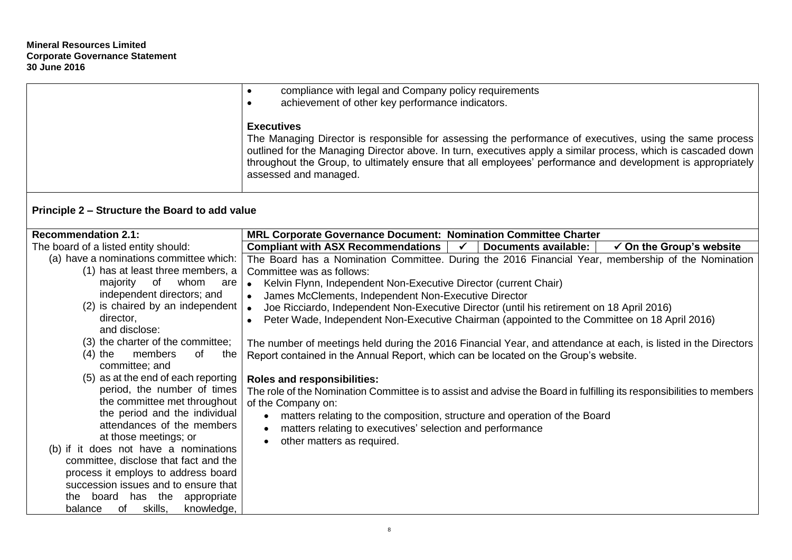|                                                             | compliance with legal and Company policy requirements<br>$\bullet$<br>achievement of other key performance indicators.<br>$\bullet$                                                                                                                                                                                                                                                    |
|-------------------------------------------------------------|----------------------------------------------------------------------------------------------------------------------------------------------------------------------------------------------------------------------------------------------------------------------------------------------------------------------------------------------------------------------------------------|
|                                                             | <b>Executives</b><br>The Managing Director is responsible for assessing the performance of executives, using the same process<br>outlined for the Managing Director above. In turn, executives apply a similar process, which is cascaded down<br>throughout the Group, to ultimately ensure that all employees' performance and development is appropriately<br>assessed and managed. |
| Principle 2 – Structure the Board to add value              |                                                                                                                                                                                                                                                                                                                                                                                        |
| <b>Recommendation 2.1:</b>                                  | MRL Corporate Governance Document: Nomination Committee Charter                                                                                                                                                                                                                                                                                                                        |
| The board of a listed entity should:                        | <b>Compliant with ASX Recommendations</b><br>$\checkmark$<br><b>Documents available:</b><br>$\checkmark$ On the Group's website                                                                                                                                                                                                                                                        |
| (a) have a nominations committee which:                     | The Board has a Nomination Committee. During the 2016 Financial Year, membership of the Nomination                                                                                                                                                                                                                                                                                     |
| (1) has at least three members, a                           | Committee was as follows:                                                                                                                                                                                                                                                                                                                                                              |
| of<br>majority<br>whom<br>are<br>independent directors; and | Kelvin Flynn, Independent Non-Executive Director (current Chair)<br>$\bullet$                                                                                                                                                                                                                                                                                                          |
| (2) is chaired by an independent                            | James McClements, Independent Non-Executive Director                                                                                                                                                                                                                                                                                                                                   |
| director,                                                   | Joe Ricciardo, Independent Non-Executive Director (until his retirement on 18 April 2016)                                                                                                                                                                                                                                                                                              |
| and disclose:                                               | Peter Wade, Independent Non-Executive Chairman (appointed to the Committee on 18 April 2016)                                                                                                                                                                                                                                                                                           |
| (3) the charter of the committee;                           | The number of meetings held during the 2016 Financial Year, and attendance at each, is listed in the Directors                                                                                                                                                                                                                                                                         |
| $(4)$ the<br>members<br>of<br>the                           | Report contained in the Annual Report, which can be located on the Group's website.                                                                                                                                                                                                                                                                                                    |
| committee; and                                              |                                                                                                                                                                                                                                                                                                                                                                                        |
| (5) as at the end of each reporting                         | <b>Roles and responsibilities:</b>                                                                                                                                                                                                                                                                                                                                                     |
| period, the number of times                                 | The role of the Nomination Committee is to assist and advise the Board in fulfilling its responsibilities to members                                                                                                                                                                                                                                                                   |
| the committee met throughout                                | of the Company on:                                                                                                                                                                                                                                                                                                                                                                     |
| the period and the individual                               | matters relating to the composition, structure and operation of the Board                                                                                                                                                                                                                                                                                                              |
| attendances of the members                                  | matters relating to executives' selection and performance<br>$\bullet$                                                                                                                                                                                                                                                                                                                 |
| at those meetings; or                                       | other matters as required.<br>$\bullet$                                                                                                                                                                                                                                                                                                                                                |
| (b) if it does not have a nominations                       |                                                                                                                                                                                                                                                                                                                                                                                        |
| committee, disclose that fact and the                       |                                                                                                                                                                                                                                                                                                                                                                                        |
| process it employs to address board                         |                                                                                                                                                                                                                                                                                                                                                                                        |
| succession issues and to ensure that                        |                                                                                                                                                                                                                                                                                                                                                                                        |
| the board has the appropriate                               |                                                                                                                                                                                                                                                                                                                                                                                        |
| of<br>skills,<br>knowledge,<br>balance                      |                                                                                                                                                                                                                                                                                                                                                                                        |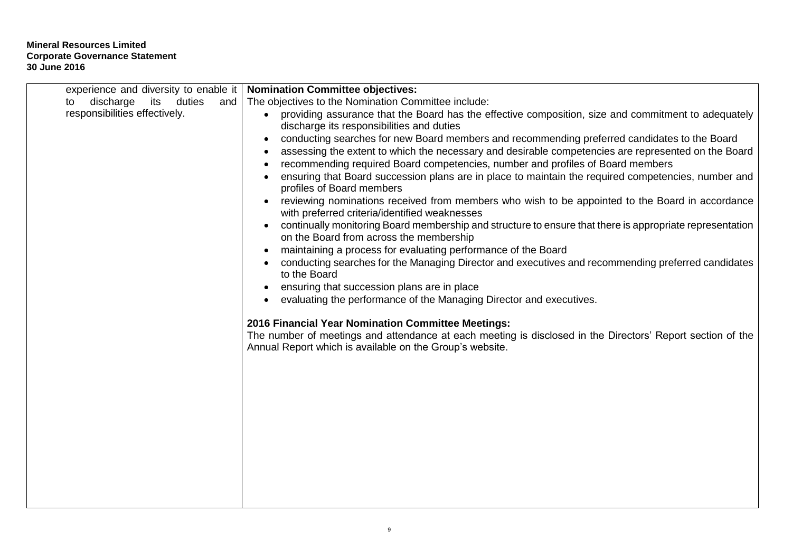| experience and diversity to enable it   | <b>Nomination Committee objectives:</b>                                                                                                                          |
|-----------------------------------------|------------------------------------------------------------------------------------------------------------------------------------------------------------------|
| discharge<br>its<br>duties<br>and<br>to | The objectives to the Nomination Committee include:                                                                                                              |
| responsibilities effectively.           | providing assurance that the Board has the effective composition, size and commitment to adequately<br>$\bullet$                                                 |
|                                         | discharge its responsibilities and duties                                                                                                                        |
|                                         | conducting searches for new Board members and recommending preferred candidates to the Board<br>$\bullet$                                                        |
|                                         | assessing the extent to which the necessary and desirable competencies are represented on the Board<br>$\bullet$                                                 |
|                                         | recommending required Board competencies, number and profiles of Board members<br>$\bullet$                                                                      |
|                                         | ensuring that Board succession plans are in place to maintain the required competencies, number and<br>profiles of Board members                                 |
|                                         | reviewing nominations received from members who wish to be appointed to the Board in accordance                                                                  |
|                                         | with preferred criteria/identified weaknesses                                                                                                                    |
|                                         | continually monitoring Board membership and structure to ensure that there is appropriate representation<br>$\bullet$<br>on the Board from across the membership |
|                                         | maintaining a process for evaluating performance of the Board                                                                                                    |
|                                         | conducting searches for the Managing Director and executives and recommending preferred candidates                                                               |
|                                         | to the Board                                                                                                                                                     |
|                                         | ensuring that succession plans are in place<br>٠                                                                                                                 |
|                                         | evaluating the performance of the Managing Director and executives.                                                                                              |
|                                         | 2016 Financial Year Nomination Committee Meetings:                                                                                                               |
|                                         | The number of meetings and attendance at each meeting is disclosed in the Directors' Report section of the                                                       |
|                                         | Annual Report which is available on the Group's website.                                                                                                         |
|                                         |                                                                                                                                                                  |
|                                         |                                                                                                                                                                  |
|                                         |                                                                                                                                                                  |
|                                         |                                                                                                                                                                  |
|                                         |                                                                                                                                                                  |
|                                         |                                                                                                                                                                  |
|                                         |                                                                                                                                                                  |
|                                         |                                                                                                                                                                  |
|                                         |                                                                                                                                                                  |
|                                         |                                                                                                                                                                  |
|                                         |                                                                                                                                                                  |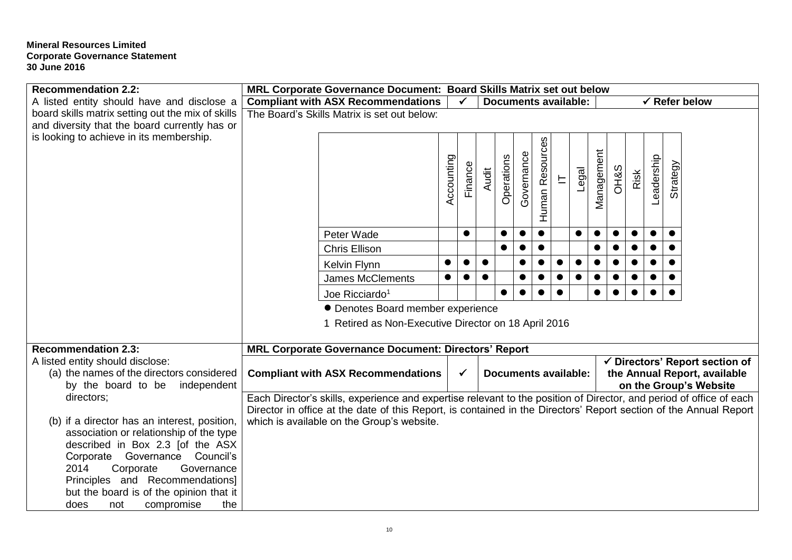| A listed entity should have and disclose a<br><b>Compliant with ASX Recommendations</b><br><b>Documents available:</b><br>$\checkmark$ Refer below<br>✓<br>board skills matrix setting out the mix of skills<br>The Board's Skills Matrix is set out below:<br>and diversity that the board currently has or<br>is looking to achieve in its membership.<br>Human Resources<br>Management<br>Governance<br>Accounting<br>Operations<br>eadership<br>Finance<br><b>Strategy</b><br><b>OH&amp;S</b><br>Legal<br>Audit<br>Risk<br>上<br>$\bullet$<br>Peter Wade<br>$\bullet$<br>$\bullet$<br>$\bullet$<br>$\bullet$<br>$\bullet$<br>$\bullet$<br>$\bullet$<br>$\bullet$<br>$\bullet$<br><b>Chris Ellison</b><br>$\bullet$<br>$\bullet$<br>Kelvin Flynn<br><b>James McClements</b><br>$\bullet$<br>$\bullet$<br>$\bullet$<br>$\bullet$<br>$\bullet$<br>Joe Ricciardo <sup>1</sup><br>• Denotes Board member experience<br>1 Retired as Non-Executive Director on 18 April 2016<br><b>Recommendation 2.3:</b><br>MRL Corporate Governance Document: Directors' Report<br>A listed entity should disclose:<br>$\checkmark$ Directors' Report section of<br>(a) the names of the directors considered<br><b>Compliant with ASX Recommendations</b><br><b>Documents available:</b><br>the Annual Report, available<br>$\checkmark$<br>by the board to be<br>independent<br>on the Group's Website<br>Each Director's skills, experience and expertise relevant to the position of Director, and period of office of each<br>directors; | <b>Recommendation 2.2:</b>                                                  | MRL Corporate Governance Document: Board Skills Matrix set out below |  |  |  |  |  |  |  |
|-------------------------------------------------------------------------------------------------------------------------------------------------------------------------------------------------------------------------------------------------------------------------------------------------------------------------------------------------------------------------------------------------------------------------------------------------------------------------------------------------------------------------------------------------------------------------------------------------------------------------------------------------------------------------------------------------------------------------------------------------------------------------------------------------------------------------------------------------------------------------------------------------------------------------------------------------------------------------------------------------------------------------------------------------------------------------------------------------------------------------------------------------------------------------------------------------------------------------------------------------------------------------------------------------------------------------------------------------------------------------------------------------------------------------------------------------------------------------------------------------------------------------------|-----------------------------------------------------------------------------|----------------------------------------------------------------------|--|--|--|--|--|--|--|
|                                                                                                                                                                                                                                                                                                                                                                                                                                                                                                                                                                                                                                                                                                                                                                                                                                                                                                                                                                                                                                                                                                                                                                                                                                                                                                                                                                                                                                                                                                                               |                                                                             |                                                                      |  |  |  |  |  |  |  |
|                                                                                                                                                                                                                                                                                                                                                                                                                                                                                                                                                                                                                                                                                                                                                                                                                                                                                                                                                                                                                                                                                                                                                                                                                                                                                                                                                                                                                                                                                                                               |                                                                             |                                                                      |  |  |  |  |  |  |  |
|                                                                                                                                                                                                                                                                                                                                                                                                                                                                                                                                                                                                                                                                                                                                                                                                                                                                                                                                                                                                                                                                                                                                                                                                                                                                                                                                                                                                                                                                                                                               |                                                                             |                                                                      |  |  |  |  |  |  |  |
|                                                                                                                                                                                                                                                                                                                                                                                                                                                                                                                                                                                                                                                                                                                                                                                                                                                                                                                                                                                                                                                                                                                                                                                                                                                                                                                                                                                                                                                                                                                               |                                                                             |                                                                      |  |  |  |  |  |  |  |
|                                                                                                                                                                                                                                                                                                                                                                                                                                                                                                                                                                                                                                                                                                                                                                                                                                                                                                                                                                                                                                                                                                                                                                                                                                                                                                                                                                                                                                                                                                                               |                                                                             |                                                                      |  |  |  |  |  |  |  |
|                                                                                                                                                                                                                                                                                                                                                                                                                                                                                                                                                                                                                                                                                                                                                                                                                                                                                                                                                                                                                                                                                                                                                                                                                                                                                                                                                                                                                                                                                                                               |                                                                             |                                                                      |  |  |  |  |  |  |  |
|                                                                                                                                                                                                                                                                                                                                                                                                                                                                                                                                                                                                                                                                                                                                                                                                                                                                                                                                                                                                                                                                                                                                                                                                                                                                                                                                                                                                                                                                                                                               |                                                                             |                                                                      |  |  |  |  |  |  |  |
|                                                                                                                                                                                                                                                                                                                                                                                                                                                                                                                                                                                                                                                                                                                                                                                                                                                                                                                                                                                                                                                                                                                                                                                                                                                                                                                                                                                                                                                                                                                               |                                                                             |                                                                      |  |  |  |  |  |  |  |
|                                                                                                                                                                                                                                                                                                                                                                                                                                                                                                                                                                                                                                                                                                                                                                                                                                                                                                                                                                                                                                                                                                                                                                                                                                                                                                                                                                                                                                                                                                                               |                                                                             |                                                                      |  |  |  |  |  |  |  |
|                                                                                                                                                                                                                                                                                                                                                                                                                                                                                                                                                                                                                                                                                                                                                                                                                                                                                                                                                                                                                                                                                                                                                                                                                                                                                                                                                                                                                                                                                                                               |                                                                             |                                                                      |  |  |  |  |  |  |  |
|                                                                                                                                                                                                                                                                                                                                                                                                                                                                                                                                                                                                                                                                                                                                                                                                                                                                                                                                                                                                                                                                                                                                                                                                                                                                                                                                                                                                                                                                                                                               |                                                                             |                                                                      |  |  |  |  |  |  |  |
|                                                                                                                                                                                                                                                                                                                                                                                                                                                                                                                                                                                                                                                                                                                                                                                                                                                                                                                                                                                                                                                                                                                                                                                                                                                                                                                                                                                                                                                                                                                               |                                                                             |                                                                      |  |  |  |  |  |  |  |
|                                                                                                                                                                                                                                                                                                                                                                                                                                                                                                                                                                                                                                                                                                                                                                                                                                                                                                                                                                                                                                                                                                                                                                                                                                                                                                                                                                                                                                                                                                                               |                                                                             |                                                                      |  |  |  |  |  |  |  |
|                                                                                                                                                                                                                                                                                                                                                                                                                                                                                                                                                                                                                                                                                                                                                                                                                                                                                                                                                                                                                                                                                                                                                                                                                                                                                                                                                                                                                                                                                                                               |                                                                             |                                                                      |  |  |  |  |  |  |  |
|                                                                                                                                                                                                                                                                                                                                                                                                                                                                                                                                                                                                                                                                                                                                                                                                                                                                                                                                                                                                                                                                                                                                                                                                                                                                                                                                                                                                                                                                                                                               |                                                                             |                                                                      |  |  |  |  |  |  |  |
|                                                                                                                                                                                                                                                                                                                                                                                                                                                                                                                                                                                                                                                                                                                                                                                                                                                                                                                                                                                                                                                                                                                                                                                                                                                                                                                                                                                                                                                                                                                               |                                                                             |                                                                      |  |  |  |  |  |  |  |
|                                                                                                                                                                                                                                                                                                                                                                                                                                                                                                                                                                                                                                                                                                                                                                                                                                                                                                                                                                                                                                                                                                                                                                                                                                                                                                                                                                                                                                                                                                                               |                                                                             |                                                                      |  |  |  |  |  |  |  |
|                                                                                                                                                                                                                                                                                                                                                                                                                                                                                                                                                                                                                                                                                                                                                                                                                                                                                                                                                                                                                                                                                                                                                                                                                                                                                                                                                                                                                                                                                                                               |                                                                             |                                                                      |  |  |  |  |  |  |  |
|                                                                                                                                                                                                                                                                                                                                                                                                                                                                                                                                                                                                                                                                                                                                                                                                                                                                                                                                                                                                                                                                                                                                                                                                                                                                                                                                                                                                                                                                                                                               |                                                                             |                                                                      |  |  |  |  |  |  |  |
|                                                                                                                                                                                                                                                                                                                                                                                                                                                                                                                                                                                                                                                                                                                                                                                                                                                                                                                                                                                                                                                                                                                                                                                                                                                                                                                                                                                                                                                                                                                               |                                                                             |                                                                      |  |  |  |  |  |  |  |
|                                                                                                                                                                                                                                                                                                                                                                                                                                                                                                                                                                                                                                                                                                                                                                                                                                                                                                                                                                                                                                                                                                                                                                                                                                                                                                                                                                                                                                                                                                                               |                                                                             |                                                                      |  |  |  |  |  |  |  |
|                                                                                                                                                                                                                                                                                                                                                                                                                                                                                                                                                                                                                                                                                                                                                                                                                                                                                                                                                                                                                                                                                                                                                                                                                                                                                                                                                                                                                                                                                                                               |                                                                             |                                                                      |  |  |  |  |  |  |  |
|                                                                                                                                                                                                                                                                                                                                                                                                                                                                                                                                                                                                                                                                                                                                                                                                                                                                                                                                                                                                                                                                                                                                                                                                                                                                                                                                                                                                                                                                                                                               |                                                                             |                                                                      |  |  |  |  |  |  |  |
|                                                                                                                                                                                                                                                                                                                                                                                                                                                                                                                                                                                                                                                                                                                                                                                                                                                                                                                                                                                                                                                                                                                                                                                                                                                                                                                                                                                                                                                                                                                               |                                                                             |                                                                      |  |  |  |  |  |  |  |
| Director in office at the date of this Report, is contained in the Directors' Report section of the Annual Report                                                                                                                                                                                                                                                                                                                                                                                                                                                                                                                                                                                                                                                                                                                                                                                                                                                                                                                                                                                                                                                                                                                                                                                                                                                                                                                                                                                                             |                                                                             |                                                                      |  |  |  |  |  |  |  |
| (b) if a director has an interest, position,<br>which is available on the Group's website.                                                                                                                                                                                                                                                                                                                                                                                                                                                                                                                                                                                                                                                                                                                                                                                                                                                                                                                                                                                                                                                                                                                                                                                                                                                                                                                                                                                                                                    |                                                                             |                                                                      |  |  |  |  |  |  |  |
| association or relationship of the type                                                                                                                                                                                                                                                                                                                                                                                                                                                                                                                                                                                                                                                                                                                                                                                                                                                                                                                                                                                                                                                                                                                                                                                                                                                                                                                                                                                                                                                                                       |                                                                             |                                                                      |  |  |  |  |  |  |  |
| described in Box 2.3 [of the ASX                                                                                                                                                                                                                                                                                                                                                                                                                                                                                                                                                                                                                                                                                                                                                                                                                                                                                                                                                                                                                                                                                                                                                                                                                                                                                                                                                                                                                                                                                              |                                                                             |                                                                      |  |  |  |  |  |  |  |
| Corporate Governance<br>Council's                                                                                                                                                                                                                                                                                                                                                                                                                                                                                                                                                                                                                                                                                                                                                                                                                                                                                                                                                                                                                                                                                                                                                                                                                                                                                                                                                                                                                                                                                             |                                                                             |                                                                      |  |  |  |  |  |  |  |
| 2014<br>Corporate<br>Governance                                                                                                                                                                                                                                                                                                                                                                                                                                                                                                                                                                                                                                                                                                                                                                                                                                                                                                                                                                                                                                                                                                                                                                                                                                                                                                                                                                                                                                                                                               |                                                                             |                                                                      |  |  |  |  |  |  |  |
| Principles and Recommendations]                                                                                                                                                                                                                                                                                                                                                                                                                                                                                                                                                                                                                                                                                                                                                                                                                                                                                                                                                                                                                                                                                                                                                                                                                                                                                                                                                                                                                                                                                               |                                                                             |                                                                      |  |  |  |  |  |  |  |
|                                                                                                                                                                                                                                                                                                                                                                                                                                                                                                                                                                                                                                                                                                                                                                                                                                                                                                                                                                                                                                                                                                                                                                                                                                                                                                                                                                                                                                                                                                                               | but the board is of the opinion that it<br>does<br>compromise<br>the<br>not |                                                                      |  |  |  |  |  |  |  |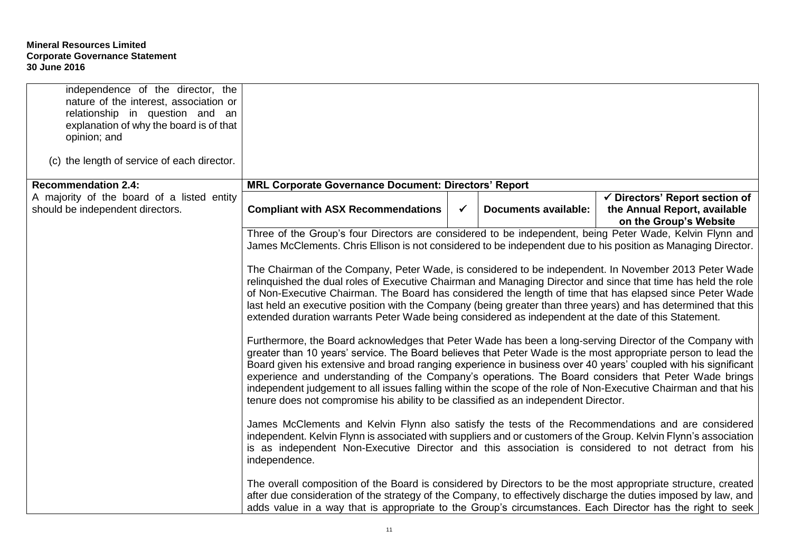| independence of the director, the<br>nature of the interest, association or<br>relationship in question and an<br>explanation of why the board is of that<br>opinion; and |                                                                                                                                                                                                                                                                                                                                                                                                                                                                                                                                                                                                                                                                                                                                                                                                                                                                                                                                                                                                                                                                                                                                                                                                                                                                                                                                                                                                                                                                                                                                                                                                                                                                                                                                                                                                              |              |                             |                                                                                          |  |  |  |
|---------------------------------------------------------------------------------------------------------------------------------------------------------------------------|--------------------------------------------------------------------------------------------------------------------------------------------------------------------------------------------------------------------------------------------------------------------------------------------------------------------------------------------------------------------------------------------------------------------------------------------------------------------------------------------------------------------------------------------------------------------------------------------------------------------------------------------------------------------------------------------------------------------------------------------------------------------------------------------------------------------------------------------------------------------------------------------------------------------------------------------------------------------------------------------------------------------------------------------------------------------------------------------------------------------------------------------------------------------------------------------------------------------------------------------------------------------------------------------------------------------------------------------------------------------------------------------------------------------------------------------------------------------------------------------------------------------------------------------------------------------------------------------------------------------------------------------------------------------------------------------------------------------------------------------------------------------------------------------------------------|--------------|-----------------------------|------------------------------------------------------------------------------------------|--|--|--|
| (c) the length of service of each director.                                                                                                                               |                                                                                                                                                                                                                                                                                                                                                                                                                                                                                                                                                                                                                                                                                                                                                                                                                                                                                                                                                                                                                                                                                                                                                                                                                                                                                                                                                                                                                                                                                                                                                                                                                                                                                                                                                                                                              |              |                             |                                                                                          |  |  |  |
| <b>Recommendation 2.4:</b>                                                                                                                                                | <b>MRL Corporate Governance Document: Directors' Report</b>                                                                                                                                                                                                                                                                                                                                                                                                                                                                                                                                                                                                                                                                                                                                                                                                                                                                                                                                                                                                                                                                                                                                                                                                                                                                                                                                                                                                                                                                                                                                                                                                                                                                                                                                                  |              |                             |                                                                                          |  |  |  |
| A majority of the board of a listed entity<br>should be independent directors.                                                                                            | <b>Compliant with ASX Recommendations</b>                                                                                                                                                                                                                                                                                                                                                                                                                                                                                                                                                                                                                                                                                                                                                                                                                                                                                                                                                                                                                                                                                                                                                                                                                                                                                                                                                                                                                                                                                                                                                                                                                                                                                                                                                                    | $\checkmark$ | <b>Documents available:</b> | ✔ Directors' Report section of<br>the Annual Report, available<br>on the Group's Website |  |  |  |
|                                                                                                                                                                           | Three of the Group's four Directors are considered to be independent, being Peter Wade, Kelvin Flynn and<br>James McClements. Chris Ellison is not considered to be independent due to his position as Managing Director.<br>The Chairman of the Company, Peter Wade, is considered to be independent. In November 2013 Peter Wade<br>relinquished the dual roles of Executive Chairman and Managing Director and since that time has held the role<br>of Non-Executive Chairman. The Board has considered the length of time that has elapsed since Peter Wade<br>last held an executive position with the Company (being greater than three years) and has determined that this<br>extended duration warrants Peter Wade being considered as independent at the date of this Statement.<br>Furthermore, the Board acknowledges that Peter Wade has been a long-serving Director of the Company with<br>greater than 10 years' service. The Board believes that Peter Wade is the most appropriate person to lead the<br>Board given his extensive and broad ranging experience in business over 40 years' coupled with his significant<br>experience and understanding of the Company's operations. The Board considers that Peter Wade brings<br>independent judgement to all issues falling within the scope of the role of Non-Executive Chairman and that his<br>tenure does not compromise his ability to be classified as an independent Director.<br>James McClements and Kelvin Flynn also satisfy the tests of the Recommendations and are considered<br>independent. Kelvin Flynn is associated with suppliers and or customers of the Group. Kelvin Flynn's association<br>is as independent Non-Executive Director and this association is considered to not detract from his<br>independence. |              |                             |                                                                                          |  |  |  |
|                                                                                                                                                                           | The overall composition of the Board is considered by Directors to be the most appropriate structure, created<br>after due consideration of the strategy of the Company, to effectively discharge the duties imposed by law, and<br>adds value in a way that is appropriate to the Group's circumstances. Each Director has the right to seek                                                                                                                                                                                                                                                                                                                                                                                                                                                                                                                                                                                                                                                                                                                                                                                                                                                                                                                                                                                                                                                                                                                                                                                                                                                                                                                                                                                                                                                                |              |                             |                                                                                          |  |  |  |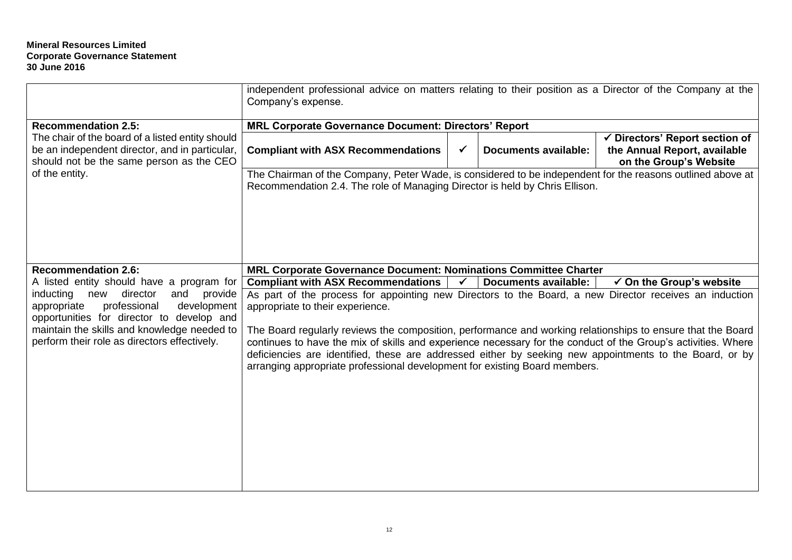|                                                                                                                                                                                                                                          | independent professional advice on matters relating to their position as a Director of the Company at the<br>Company's expense.                                                                                                                                                                                                                                                                                                                                                                                                                                     |              |                             |                                                                                                     |
|------------------------------------------------------------------------------------------------------------------------------------------------------------------------------------------------------------------------------------------|---------------------------------------------------------------------------------------------------------------------------------------------------------------------------------------------------------------------------------------------------------------------------------------------------------------------------------------------------------------------------------------------------------------------------------------------------------------------------------------------------------------------------------------------------------------------|--------------|-----------------------------|-----------------------------------------------------------------------------------------------------|
| <b>Recommendation 2.5:</b>                                                                                                                                                                                                               | <b>MRL Corporate Governance Document: Directors' Report</b>                                                                                                                                                                                                                                                                                                                                                                                                                                                                                                         |              |                             |                                                                                                     |
| The chair of the board of a listed entity should<br>be an independent director, and in particular,<br>should not be the same person as the CEO                                                                                           | <b>Compliant with ASX Recommendations</b>                                                                                                                                                                                                                                                                                                                                                                                                                                                                                                                           | $\checkmark$ | <b>Documents available:</b> | $\checkmark$ Directors' Report section of<br>the Annual Report, available<br>on the Group's Website |
| of the entity.                                                                                                                                                                                                                           | The Chairman of the Company, Peter Wade, is considered to be independent for the reasons outlined above at<br>Recommendation 2.4. The role of Managing Director is held by Chris Ellison.                                                                                                                                                                                                                                                                                                                                                                           |              |                             |                                                                                                     |
| <b>Recommendation 2.6:</b>                                                                                                                                                                                                               | <b>MRL Corporate Governance Document: Nominations Committee Charter</b>                                                                                                                                                                                                                                                                                                                                                                                                                                                                                             |              |                             |                                                                                                     |
| A listed entity should have a program for                                                                                                                                                                                                | <b>Compliant with ASX Recommendations</b>                                                                                                                                                                                                                                                                                                                                                                                                                                                                                                                           | $\checkmark$ | <b>Documents available:</b> | $\checkmark$ On the Group's website                                                                 |
| director<br>and<br>inducting<br>new<br>provide<br>professional<br>development<br>appropriate<br>opportunities for director to develop and<br>maintain the skills and knowledge needed to<br>perform their role as directors effectively. | As part of the process for appointing new Directors to the Board, a new Director receives an induction<br>appropriate to their experience.<br>The Board regularly reviews the composition, performance and working relationships to ensure that the Board<br>continues to have the mix of skills and experience necessary for the conduct of the Group's activities. Where<br>deficiencies are identified, these are addressed either by seeking new appointments to the Board, or by<br>arranging appropriate professional development for existing Board members. |              |                             |                                                                                                     |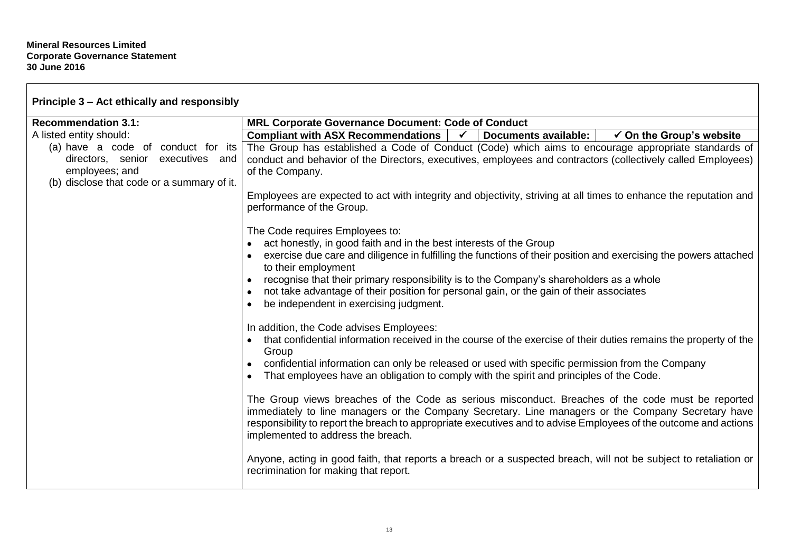| Principle 3 – Act ethically and responsibly                                                                                            |                                                                                                                                                                                                                                                                                                                                                                   |
|----------------------------------------------------------------------------------------------------------------------------------------|-------------------------------------------------------------------------------------------------------------------------------------------------------------------------------------------------------------------------------------------------------------------------------------------------------------------------------------------------------------------|
| <b>Recommendation 3.1:</b>                                                                                                             | <b>MRL Corporate Governance Document: Code of Conduct</b>                                                                                                                                                                                                                                                                                                         |
| A listed entity should:                                                                                                                | <b>Documents available:</b><br><b>Compliant with ASX Recommendations</b><br>$\checkmark$ On the Group's website<br>$\sqrt{2}$                                                                                                                                                                                                                                     |
| (a) have a code of conduct for its<br>directors, senior executives and<br>employees; and<br>(b) disclose that code or a summary of it. | The Group has established a Code of Conduct (Code) which aims to encourage appropriate standards of<br>conduct and behavior of the Directors, executives, employees and contractors (collectively called Employees)<br>of the Company.                                                                                                                            |
|                                                                                                                                        | Employees are expected to act with integrity and objectivity, striving at all times to enhance the reputation and<br>performance of the Group.                                                                                                                                                                                                                    |
|                                                                                                                                        | The Code requires Employees to:                                                                                                                                                                                                                                                                                                                                   |
|                                                                                                                                        | act honestly, in good faith and in the best interests of the Group                                                                                                                                                                                                                                                                                                |
|                                                                                                                                        | exercise due care and diligence in fulfilling the functions of their position and exercising the powers attached<br>to their employment                                                                                                                                                                                                                           |
|                                                                                                                                        | recognise that their primary responsibility is to the Company's shareholders as a whole                                                                                                                                                                                                                                                                           |
|                                                                                                                                        | not take advantage of their position for personal gain, or the gain of their associates                                                                                                                                                                                                                                                                           |
|                                                                                                                                        | be independent in exercising judgment.                                                                                                                                                                                                                                                                                                                            |
|                                                                                                                                        | In addition, the Code advises Employees:                                                                                                                                                                                                                                                                                                                          |
|                                                                                                                                        | that confidential information received in the course of the exercise of their duties remains the property of the<br>Group                                                                                                                                                                                                                                         |
|                                                                                                                                        | confidential information can only be released or used with specific permission from the Company<br>That employees have an obligation to comply with the spirit and principles of the Code.                                                                                                                                                                        |
|                                                                                                                                        | The Group views breaches of the Code as serious misconduct. Breaches of the code must be reported<br>immediately to line managers or the Company Secretary. Line managers or the Company Secretary have<br>responsibility to report the breach to appropriate executives and to advise Employees of the outcome and actions<br>implemented to address the breach. |
|                                                                                                                                        | Anyone, acting in good faith, that reports a breach or a suspected breach, will not be subject to retaliation or<br>recrimination for making that report.                                                                                                                                                                                                         |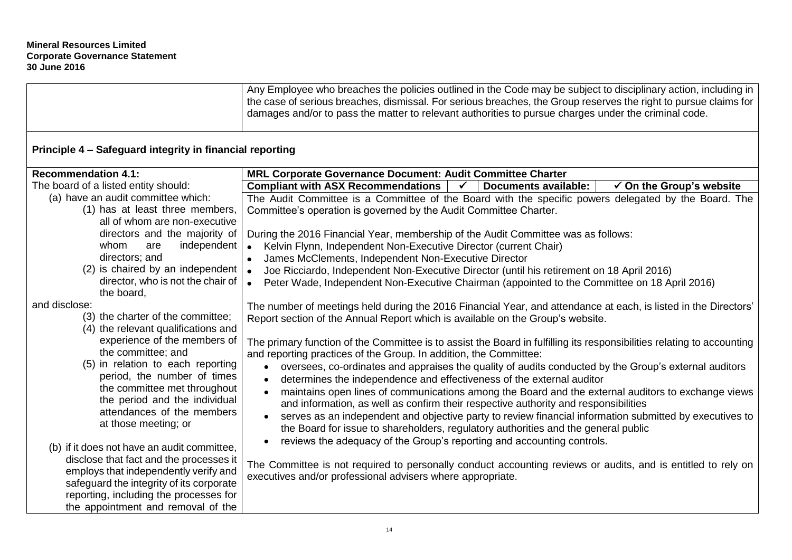|                                                                                                                              | Any Employee who breaches the policies outlined in the Code may be subject to disciplinary action, including in<br>the case of serious breaches, dismissal. For serious breaches, the Group reserves the right to pursue claims for<br>damages and/or to pass the matter to relevant authorities to pursue charges under the criminal code. |  |  |
|------------------------------------------------------------------------------------------------------------------------------|---------------------------------------------------------------------------------------------------------------------------------------------------------------------------------------------------------------------------------------------------------------------------------------------------------------------------------------------|--|--|
| Principle 4 - Safeguard integrity in financial reporting                                                                     |                                                                                                                                                                                                                                                                                                                                             |  |  |
| <b>Recommendation 4.1:</b>                                                                                                   | MRL Corporate Governance Document: Audit Committee Charter                                                                                                                                                                                                                                                                                  |  |  |
| The board of a listed entity should:                                                                                         | <b>Compliant with ASX Recommendations</b><br>$\checkmark$ On the Group's website<br>$\checkmark$<br><b>Documents available:</b>                                                                                                                                                                                                             |  |  |
| (a) have an audit committee which:<br>(1) has at least three members,<br>all of whom are non-executive                       | The Audit Committee is a Committee of the Board with the specific powers delegated by the Board. The<br>Committee's operation is governed by the Audit Committee Charter.                                                                                                                                                                   |  |  |
| directors and the majority of                                                                                                | During the 2016 Financial Year, membership of the Audit Committee was as follows:                                                                                                                                                                                                                                                           |  |  |
| whom<br>independent<br>are                                                                                                   | Kelvin Flynn, Independent Non-Executive Director (current Chair)<br>$\bullet$                                                                                                                                                                                                                                                               |  |  |
| directors; and                                                                                                               | James McClements, Independent Non-Executive Director<br>$\bullet$                                                                                                                                                                                                                                                                           |  |  |
| $(2)$ is chaired by an independent                                                                                           | Joe Ricciardo, Independent Non-Executive Director (until his retirement on 18 April 2016)                                                                                                                                                                                                                                                   |  |  |
| director, who is not the chair of<br>the board,                                                                              | Peter Wade, Independent Non-Executive Chairman (appointed to the Committee on 18 April 2016)                                                                                                                                                                                                                                                |  |  |
| and disclose:<br>(3) the charter of the committee;<br>(4) the relevant qualifications and                                    | The number of meetings held during the 2016 Financial Year, and attendance at each, is listed in the Directors'<br>Report section of the Annual Report which is available on the Group's website.                                                                                                                                           |  |  |
| experience of the members of<br>the committee; and                                                                           | The primary function of the Committee is to assist the Board in fulfilling its responsibilities relating to accounting<br>and reporting practices of the Group. In addition, the Committee:                                                                                                                                                 |  |  |
| (5) in relation to each reporting<br>period, the number of times                                                             | oversees, co-ordinates and appraises the quality of audits conducted by the Group's external auditors<br>$\bullet$<br>determines the independence and effectiveness of the external auditor<br>$\bullet$                                                                                                                                    |  |  |
| the committee met throughout<br>the period and the individual                                                                | maintains open lines of communications among the Board and the external auditors to exchange views<br>$\bullet$<br>and information, as well as confirm their respective authority and responsibilities                                                                                                                                      |  |  |
| attendances of the members<br>at those meeting; or                                                                           | serves as an independent and objective party to review financial information submitted by executives to<br>$\bullet$<br>the Board for issue to shareholders, regulatory authorities and the general public                                                                                                                                  |  |  |
| (b) if it does not have an audit committee,                                                                                  | reviews the adequacy of the Group's reporting and accounting controls.                                                                                                                                                                                                                                                                      |  |  |
| disclose that fact and the processes it<br>employs that independently verify and<br>safeguard the integrity of its corporate | The Committee is not required to personally conduct accounting reviews or audits, and is entitled to rely on<br>executives and/or professional advisers where appropriate.                                                                                                                                                                  |  |  |
| reporting, including the processes for<br>the appointment and removal of the                                                 |                                                                                                                                                                                                                                                                                                                                             |  |  |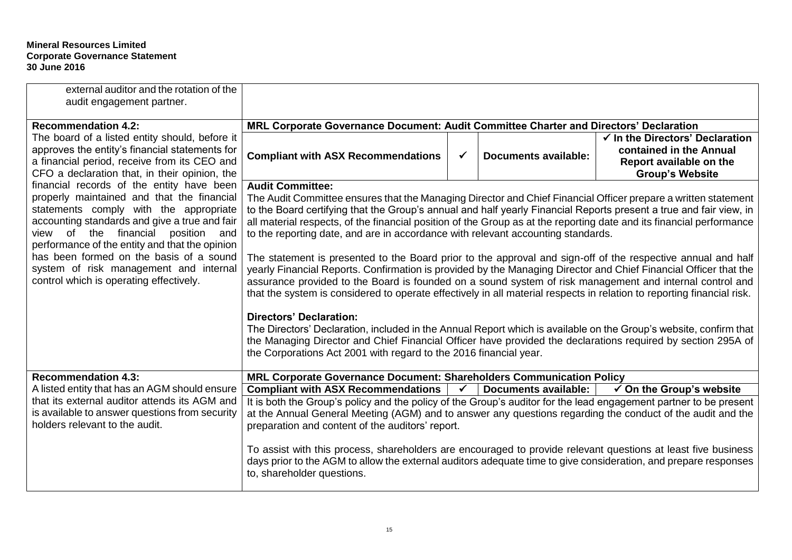| external auditor and the rotation of the<br>audit engagement partner.                                                                                                                                                                                                                                                                                         |                                                                                                                                                                                                                                                                                                                                                                                                                                                                                                                                                                                                                                                                                                                                                                                                                                                                                                                                                                                                                                                                                                                                                                                                                                                                        |              |                             |                                                                                                                            |  |
|---------------------------------------------------------------------------------------------------------------------------------------------------------------------------------------------------------------------------------------------------------------------------------------------------------------------------------------------------------------|------------------------------------------------------------------------------------------------------------------------------------------------------------------------------------------------------------------------------------------------------------------------------------------------------------------------------------------------------------------------------------------------------------------------------------------------------------------------------------------------------------------------------------------------------------------------------------------------------------------------------------------------------------------------------------------------------------------------------------------------------------------------------------------------------------------------------------------------------------------------------------------------------------------------------------------------------------------------------------------------------------------------------------------------------------------------------------------------------------------------------------------------------------------------------------------------------------------------------------------------------------------------|--------------|-----------------------------|----------------------------------------------------------------------------------------------------------------------------|--|
| <b>Recommendation 4.2:</b>                                                                                                                                                                                                                                                                                                                                    | MRL Corporate Governance Document: Audit Committee Charter and Directors' Declaration                                                                                                                                                                                                                                                                                                                                                                                                                                                                                                                                                                                                                                                                                                                                                                                                                                                                                                                                                                                                                                                                                                                                                                                  |              |                             |                                                                                                                            |  |
| The board of a listed entity should, before it<br>approves the entity's financial statements for<br>a financial period, receive from its CEO and<br>CFO a declaration that, in their opinion, the                                                                                                                                                             | <b>Compliant with ASX Recommendations</b>                                                                                                                                                                                                                                                                                                                                                                                                                                                                                                                                                                                                                                                                                                                                                                                                                                                                                                                                                                                                                                                                                                                                                                                                                              | $\checkmark$ | <b>Documents available:</b> | $\checkmark$ In the Directors' Declaration<br>contained in the Annual<br>Report available on the<br><b>Group's Website</b> |  |
| financial records of the entity have been                                                                                                                                                                                                                                                                                                                     | <b>Audit Committee:</b>                                                                                                                                                                                                                                                                                                                                                                                                                                                                                                                                                                                                                                                                                                                                                                                                                                                                                                                                                                                                                                                                                                                                                                                                                                                |              |                             |                                                                                                                            |  |
| properly maintained and that the financial<br>statements comply with the appropriate<br>accounting standards and give a true and fair<br>view of the financial position and<br>performance of the entity and that the opinion<br>has been formed on the basis of a sound<br>system of risk management and internal<br>control which is operating effectively. | The Audit Committee ensures that the Managing Director and Chief Financial Officer prepare a written statement<br>to the Board certifying that the Group's annual and half yearly Financial Reports present a true and fair view, in<br>all material respects, of the financial position of the Group as at the reporting date and its financial performance<br>to the reporting date, and are in accordance with relevant accounting standards.<br>The statement is presented to the Board prior to the approval and sign-off of the respective annual and half<br>yearly Financial Reports. Confirmation is provided by the Managing Director and Chief Financial Officer that the<br>assurance provided to the Board is founded on a sound system of risk management and internal control and<br>that the system is considered to operate effectively in all material respects in relation to reporting financial risk.<br><b>Directors' Declaration:</b><br>The Directors' Declaration, included in the Annual Report which is available on the Group's website, confirm that<br>the Managing Director and Chief Financial Officer have provided the declarations required by section 295A of<br>the Corporations Act 2001 with regard to the 2016 financial year. |              |                             |                                                                                                                            |  |
| <b>Recommendation 4.3:</b>                                                                                                                                                                                                                                                                                                                                    | MRL Corporate Governance Document: Shareholders Communication Policy                                                                                                                                                                                                                                                                                                                                                                                                                                                                                                                                                                                                                                                                                                                                                                                                                                                                                                                                                                                                                                                                                                                                                                                                   |              |                             |                                                                                                                            |  |
| A listed entity that has an AGM should ensure                                                                                                                                                                                                                                                                                                                 | <b>Compliant with ASX Recommendations</b>                                                                                                                                                                                                                                                                                                                                                                                                                                                                                                                                                                                                                                                                                                                                                                                                                                                                                                                                                                                                                                                                                                                                                                                                                              | $\sqrt{2}$   | <b>Documents available:</b> | $\checkmark$ On the Group's website                                                                                        |  |
| that its external auditor attends its AGM and<br>is available to answer questions from security<br>holders relevant to the audit.                                                                                                                                                                                                                             | It is both the Group's policy and the policy of the Group's auditor for the lead engagement partner to be present<br>at the Annual General Meeting (AGM) and to answer any questions regarding the conduct of the audit and the<br>preparation and content of the auditors' report.                                                                                                                                                                                                                                                                                                                                                                                                                                                                                                                                                                                                                                                                                                                                                                                                                                                                                                                                                                                    |              |                             |                                                                                                                            |  |
|                                                                                                                                                                                                                                                                                                                                                               | To assist with this process, shareholders are encouraged to provide relevant questions at least five business<br>days prior to the AGM to allow the external auditors adequate time to give consideration, and prepare responses<br>to, shareholder questions.                                                                                                                                                                                                                                                                                                                                                                                                                                                                                                                                                                                                                                                                                                                                                                                                                                                                                                                                                                                                         |              |                             |                                                                                                                            |  |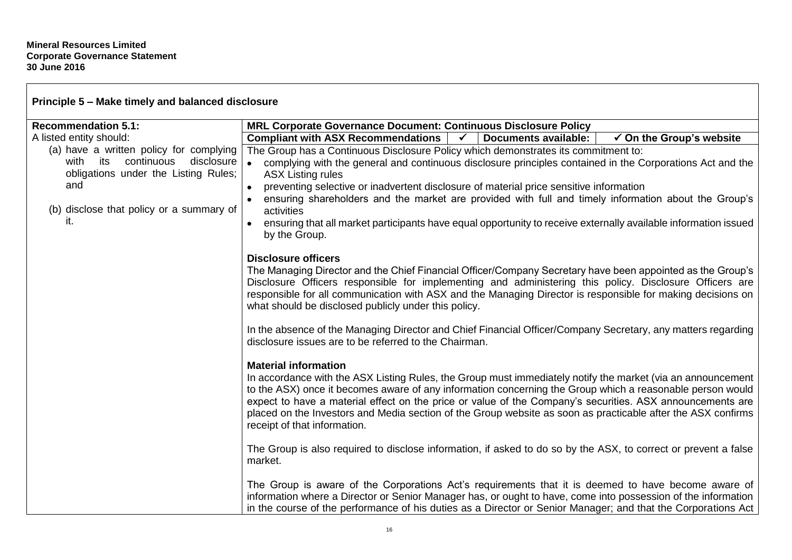$\Gamma$ 

| Principle 5 - Make timely and balanced disclosure                               |                                                                                                                                                                                                                                                                                                                                                                                                                                                                                                                      |  |  |  |
|---------------------------------------------------------------------------------|----------------------------------------------------------------------------------------------------------------------------------------------------------------------------------------------------------------------------------------------------------------------------------------------------------------------------------------------------------------------------------------------------------------------------------------------------------------------------------------------------------------------|--|--|--|
| <b>Recommendation 5.1:</b>                                                      | <b>MRL Corporate Governance Document: Continuous Disclosure Policy</b>                                                                                                                                                                                                                                                                                                                                                                                                                                               |  |  |  |
| A listed entity should:                                                         | <b>Compliant with ASX Recommendations</b><br><b>Documents available:</b><br>$\checkmark$ On the Group's website<br>$\mathbf{v}$                                                                                                                                                                                                                                                                                                                                                                                      |  |  |  |
| (a) have a written policy for complying                                         | The Group has a Continuous Disclosure Policy which demonstrates its commitment to:<br>complying with the general and continuous disclosure principles contained in the Corporations Act and the<br><b>ASX Listing rules</b>                                                                                                                                                                                                                                                                                          |  |  |  |
| continuous<br>disclosure<br>with<br>its<br>obligations under the Listing Rules; |                                                                                                                                                                                                                                                                                                                                                                                                                                                                                                                      |  |  |  |
| and                                                                             | preventing selective or inadvertent disclosure of material price sensitive information                                                                                                                                                                                                                                                                                                                                                                                                                               |  |  |  |
|                                                                                 | ensuring shareholders and the market are provided with full and timely information about the Group's                                                                                                                                                                                                                                                                                                                                                                                                                 |  |  |  |
| (b) disclose that policy or a summary of<br>it.                                 | activities                                                                                                                                                                                                                                                                                                                                                                                                                                                                                                           |  |  |  |
|                                                                                 | ensuring that all market participants have equal opportunity to receive externally available information issued<br>by the Group.                                                                                                                                                                                                                                                                                                                                                                                     |  |  |  |
|                                                                                 | <b>Disclosure officers</b><br>The Managing Director and the Chief Financial Officer/Company Secretary have been appointed as the Group's<br>Disclosure Officers responsible for implementing and administering this policy. Disclosure Officers are<br>responsible for all communication with ASX and the Managing Director is responsible for making decisions on<br>what should be disclosed publicly under this policy.                                                                                           |  |  |  |
|                                                                                 | In the absence of the Managing Director and Chief Financial Officer/Company Secretary, any matters regarding<br>disclosure issues are to be referred to the Chairman.                                                                                                                                                                                                                                                                                                                                                |  |  |  |
|                                                                                 | <b>Material information</b><br>In accordance with the ASX Listing Rules, the Group must immediately notify the market (via an announcement<br>to the ASX) once it becomes aware of any information concerning the Group which a reasonable person would<br>expect to have a material effect on the price or value of the Company's securities. ASX announcements are<br>placed on the Investors and Media section of the Group website as soon as practicable after the ASX confirms<br>receipt of that information. |  |  |  |
|                                                                                 | The Group is also required to disclose information, if asked to do so by the ASX, to correct or prevent a false<br>market.                                                                                                                                                                                                                                                                                                                                                                                           |  |  |  |
|                                                                                 | The Group is aware of the Corporations Act's requirements that it is deemed to have become aware of<br>information where a Director or Senior Manager has, or ought to have, come into possession of the information<br>in the course of the performance of his duties as a Director or Senior Manager; and that the Corporations Act                                                                                                                                                                                |  |  |  |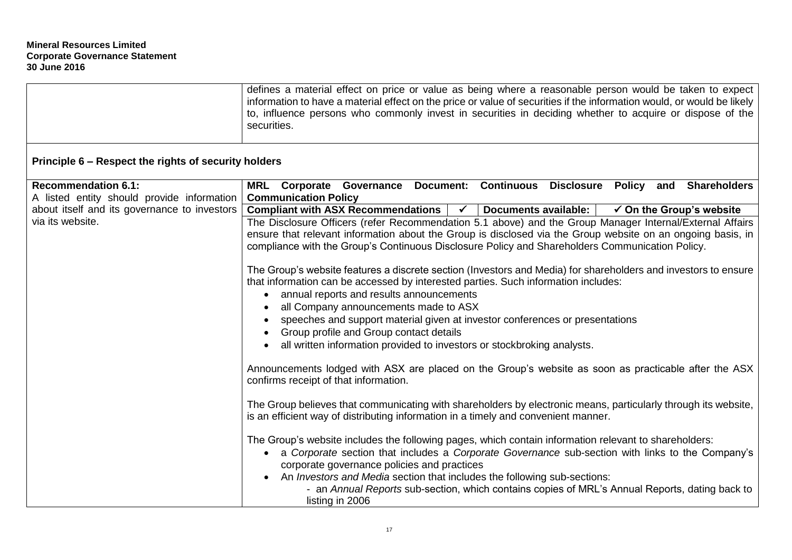|                                                      | defines a material effect on price or value as being where a reasonable person would be taken to expect<br>information to have a material effect on the price or value of securities if the information would, or would be likely<br>to, influence persons who commonly invest in securities in deciding whether to acquire or dispose of the<br>securities.                                                                                                                                                                                                                                                                                                                                                                                                                                                                               |  |  |
|------------------------------------------------------|--------------------------------------------------------------------------------------------------------------------------------------------------------------------------------------------------------------------------------------------------------------------------------------------------------------------------------------------------------------------------------------------------------------------------------------------------------------------------------------------------------------------------------------------------------------------------------------------------------------------------------------------------------------------------------------------------------------------------------------------------------------------------------------------------------------------------------------------|--|--|
| Principle 6 – Respect the rights of security holders |                                                                                                                                                                                                                                                                                                                                                                                                                                                                                                                                                                                                                                                                                                                                                                                                                                            |  |  |
| <b>Recommendation 6.1:</b>                           | MRL Corporate Governance Document: Continuous Disclosure Policy and Shareholders                                                                                                                                                                                                                                                                                                                                                                                                                                                                                                                                                                                                                                                                                                                                                           |  |  |
| A listed entity should provide information           | <b>Communication Policy</b>                                                                                                                                                                                                                                                                                                                                                                                                                                                                                                                                                                                                                                                                                                                                                                                                                |  |  |
| about itself and its governance to investors         | <b>Compliant with ASX Recommendations</b><br>$\sqrt{2}$<br>Documents available:  <br>$\checkmark$ On the Group's website                                                                                                                                                                                                                                                                                                                                                                                                                                                                                                                                                                                                                                                                                                                   |  |  |
| via its website.                                     | The Disclosure Officers (refer Recommendation 5.1 above) and the Group Manager Internal/External Affairs<br>ensure that relevant information about the Group is disclosed via the Group website on an ongoing basis, in<br>compliance with the Group's Continuous Disclosure Policy and Shareholders Communication Policy.<br>The Group's website features a discrete section (Investors and Media) for shareholders and investors to ensure<br>that information can be accessed by interested parties. Such information includes:<br>annual reports and results announcements<br>$\bullet$<br>all Company announcements made to ASX<br>speeches and support material given at investor conferences or presentations<br>Group profile and Group contact details<br>all written information provided to investors or stockbroking analysts. |  |  |
|                                                      | Announcements lodged with ASX are placed on the Group's website as soon as practicable after the ASX<br>confirms receipt of that information.                                                                                                                                                                                                                                                                                                                                                                                                                                                                                                                                                                                                                                                                                              |  |  |
|                                                      | The Group believes that communicating with shareholders by electronic means, particularly through its website,<br>is an efficient way of distributing information in a timely and convenient manner.                                                                                                                                                                                                                                                                                                                                                                                                                                                                                                                                                                                                                                       |  |  |
|                                                      | The Group's website includes the following pages, which contain information relevant to shareholders:<br>a Corporate section that includes a Corporate Governance sub-section with links to the Company's<br>corporate governance policies and practices                                                                                                                                                                                                                                                                                                                                                                                                                                                                                                                                                                                   |  |  |
|                                                      | An Investors and Media section that includes the following sub-sections:<br>- an Annual Reports sub-section, which contains copies of MRL's Annual Reports, dating back to<br>listing in 2006                                                                                                                                                                                                                                                                                                                                                                                                                                                                                                                                                                                                                                              |  |  |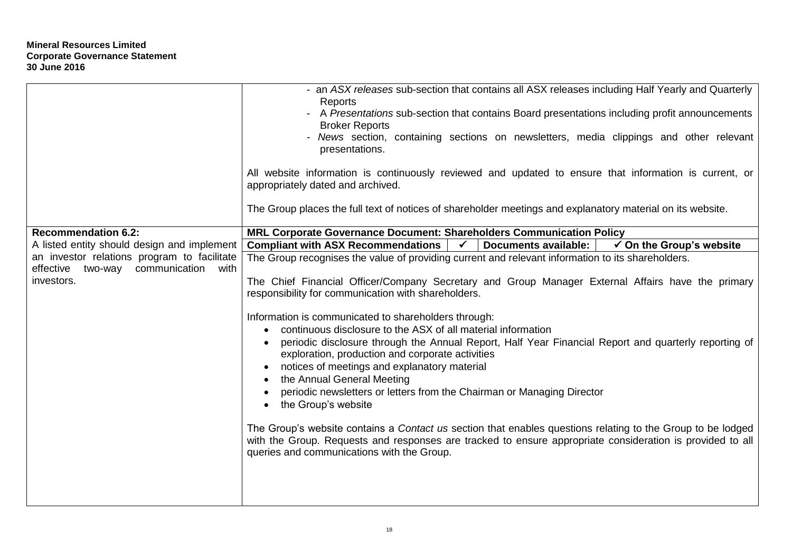|                                                       | - an ASX releases sub-section that contains all ASX releases including Half Yearly and Quarterly<br>Reports<br>- A Presentations sub-section that contains Board presentations including profit announcements<br><b>Broker Reports</b><br>- News section, containing sections on newsletters, media clippings and other relevant<br>presentations.<br>All website information is continuously reviewed and updated to ensure that information is current, or<br>appropriately dated and archived.                                                                                                                                                                                                                                         |  |
|-------------------------------------------------------|-------------------------------------------------------------------------------------------------------------------------------------------------------------------------------------------------------------------------------------------------------------------------------------------------------------------------------------------------------------------------------------------------------------------------------------------------------------------------------------------------------------------------------------------------------------------------------------------------------------------------------------------------------------------------------------------------------------------------------------------|--|
|                                                       | The Group places the full text of notices of shareholder meetings and explanatory material on its website.                                                                                                                                                                                                                                                                                                                                                                                                                                                                                                                                                                                                                                |  |
| <b>Recommendation 6.2:</b>                            | MRL Corporate Governance Document: Shareholders Communication Policy                                                                                                                                                                                                                                                                                                                                                                                                                                                                                                                                                                                                                                                                      |  |
| A listed entity should design and implement           | <b>Compliant with ASX Recommendations</b><br>$\checkmark$<br><b>Documents available:</b><br>$\checkmark$ On the Group's website                                                                                                                                                                                                                                                                                                                                                                                                                                                                                                                                                                                                           |  |
| an investor relations program to facilitate           | The Group recognises the value of providing current and relevant information to its shareholders.                                                                                                                                                                                                                                                                                                                                                                                                                                                                                                                                                                                                                                         |  |
| communication with<br>effective two-way<br>investors. | The Chief Financial Officer/Company Secretary and Group Manager External Affairs have the primary<br>responsibility for communication with shareholders.                                                                                                                                                                                                                                                                                                                                                                                                                                                                                                                                                                                  |  |
|                                                       | Information is communicated to shareholders through:<br>continuous disclosure to the ASX of all material information<br>periodic disclosure through the Annual Report, Half Year Financial Report and quarterly reporting of<br>exploration, production and corporate activities<br>notices of meetings and explanatory material<br>the Annual General Meeting<br>periodic newsletters or letters from the Chairman or Managing Director<br>the Group's website<br>The Group's website contains a Contact us section that enables questions relating to the Group to be lodged<br>with the Group. Requests and responses are tracked to ensure appropriate consideration is provided to all<br>queries and communications with the Group. |  |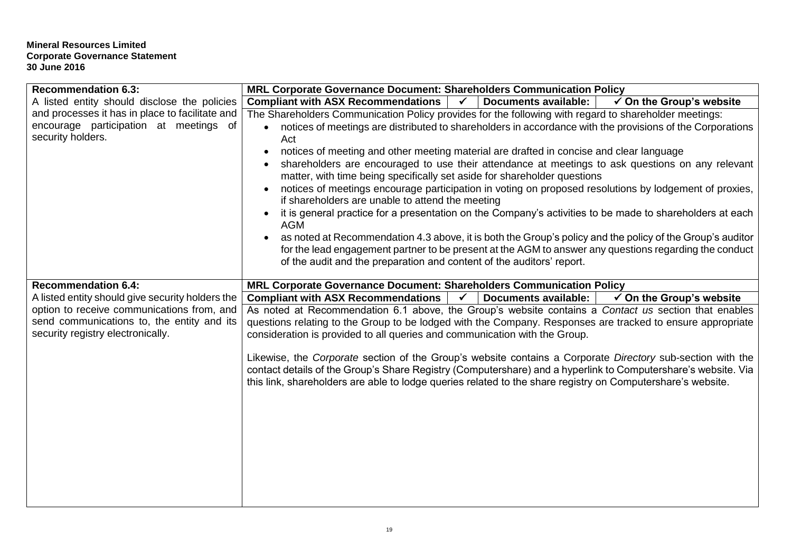| <b>Recommendation 6.3:</b>                       | MRL Corporate Governance Document: Shareholders Communication Policy                                                                                                                                                        |  |  |  |  |
|--------------------------------------------------|-----------------------------------------------------------------------------------------------------------------------------------------------------------------------------------------------------------------------------|--|--|--|--|
| A listed entity should disclose the policies     | <b>Documents available:</b><br><b>Compliant with ASX Recommendations</b><br>$\checkmark$<br>$\checkmark$ On the Group's website                                                                                             |  |  |  |  |
| and processes it has in place to facilitate and  | The Shareholders Communication Policy provides for the following with regard to shareholder meetings:                                                                                                                       |  |  |  |  |
| encourage participation at meetings of           | • notices of meetings are distributed to shareholders in accordance with the provisions of the Corporations                                                                                                                 |  |  |  |  |
| security holders.                                | Act                                                                                                                                                                                                                         |  |  |  |  |
|                                                  | notices of meeting and other meeting material are drafted in concise and clear language<br>$\bullet$                                                                                                                        |  |  |  |  |
|                                                  | shareholders are encouraged to use their attendance at meetings to ask questions on any relevant                                                                                                                            |  |  |  |  |
|                                                  | matter, with time being specifically set aside for shareholder questions                                                                                                                                                    |  |  |  |  |
|                                                  | notices of meetings encourage participation in voting on proposed resolutions by lodgement of proxies,<br>if shareholders are unable to attend the meeting                                                                  |  |  |  |  |
|                                                  | it is general practice for a presentation on the Company's activities to be made to shareholders at each<br>$\bullet$<br><b>AGM</b>                                                                                         |  |  |  |  |
|                                                  | as noted at Recommendation 4.3 above, it is both the Group's policy and the policy of the Group's auditor                                                                                                                   |  |  |  |  |
|                                                  | for the lead engagement partner to be present at the AGM to answer any questions regarding the conduct                                                                                                                      |  |  |  |  |
|                                                  | of the audit and the preparation and content of the auditors' report.                                                                                                                                                       |  |  |  |  |
|                                                  |                                                                                                                                                                                                                             |  |  |  |  |
| <b>Recommendation 6.4:</b>                       | MRL Corporate Governance Document: Shareholders Communication Policy                                                                                                                                                        |  |  |  |  |
| A listed entity should give security holders the | <b>Compliant with ASX Recommendations</b><br>$\checkmark$ On the Group's website<br>$\checkmark$<br>Documents available:                                                                                                    |  |  |  |  |
| option to receive communications from, and       | As noted at Recommendation 6.1 above, the Group's website contains a Contact us section that enables                                                                                                                        |  |  |  |  |
| send communications to, the entity and its       | questions relating to the Group to be lodged with the Company. Responses are tracked to ensure appropriate                                                                                                                  |  |  |  |  |
| security registry electronically.                | consideration is provided to all queries and communication with the Group.                                                                                                                                                  |  |  |  |  |
|                                                  |                                                                                                                                                                                                                             |  |  |  |  |
|                                                  | Likewise, the Corporate section of the Group's website contains a Corporate Directory sub-section with the<br>contact details of the Group's Share Registry (Computershare) and a hyperlink to Computershare's website. Via |  |  |  |  |
|                                                  | this link, shareholders are able to lodge queries related to the share registry on Computershare's website.                                                                                                                 |  |  |  |  |
|                                                  |                                                                                                                                                                                                                             |  |  |  |  |
|                                                  |                                                                                                                                                                                                                             |  |  |  |  |
|                                                  |                                                                                                                                                                                                                             |  |  |  |  |
|                                                  |                                                                                                                                                                                                                             |  |  |  |  |
|                                                  |                                                                                                                                                                                                                             |  |  |  |  |
|                                                  |                                                                                                                                                                                                                             |  |  |  |  |
|                                                  |                                                                                                                                                                                                                             |  |  |  |  |
|                                                  |                                                                                                                                                                                                                             |  |  |  |  |
|                                                  |                                                                                                                                                                                                                             |  |  |  |  |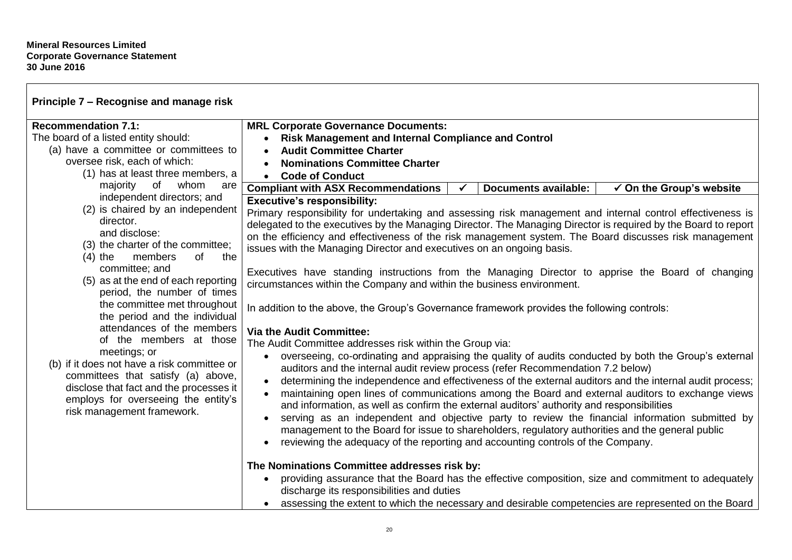| Principle 7 - Recognise and manage risk                                                                                                                                                                           |                                                                                                                                                                                                                                                                                                                                                                                                                                                                                                                                                                                                                                                                                                                                                                                                                                      |  |                             |                                     |
|-------------------------------------------------------------------------------------------------------------------------------------------------------------------------------------------------------------------|--------------------------------------------------------------------------------------------------------------------------------------------------------------------------------------------------------------------------------------------------------------------------------------------------------------------------------------------------------------------------------------------------------------------------------------------------------------------------------------------------------------------------------------------------------------------------------------------------------------------------------------------------------------------------------------------------------------------------------------------------------------------------------------------------------------------------------------|--|-----------------------------|-------------------------------------|
| <b>Recommendation 7.1:</b><br>The board of a listed entity should:<br>(a) have a committee or committees to                                                                                                       | <b>MRL Corporate Governance Documents:</b><br>• Risk Management and Internal Compliance and Control                                                                                                                                                                                                                                                                                                                                                                                                                                                                                                                                                                                                                                                                                                                                  |  |                             |                                     |
| oversee risk, each of which:                                                                                                                                                                                      | <b>Audit Committee Charter</b>                                                                                                                                                                                                                                                                                                                                                                                                                                                                                                                                                                                                                                                                                                                                                                                                       |  |                             |                                     |
| (1) has at least three members, a                                                                                                                                                                                 | <b>Nominations Committee Charter</b>                                                                                                                                                                                                                                                                                                                                                                                                                                                                                                                                                                                                                                                                                                                                                                                                 |  |                             |                                     |
| of<br>whom<br>majority<br>are                                                                                                                                                                                     | <b>Code of Conduct</b>                                                                                                                                                                                                                                                                                                                                                                                                                                                                                                                                                                                                                                                                                                                                                                                                               |  |                             |                                     |
| independent directors; and                                                                                                                                                                                        | <b>Compliant with ASX Recommendations</b><br><b>Executive's responsibility:</b>                                                                                                                                                                                                                                                                                                                                                                                                                                                                                                                                                                                                                                                                                                                                                      |  | <b>Documents available:</b> | $\checkmark$ On the Group's website |
| (2) is chaired by an independent                                                                                                                                                                                  |                                                                                                                                                                                                                                                                                                                                                                                                                                                                                                                                                                                                                                                                                                                                                                                                                                      |  |                             |                                     |
| director.<br>and disclose:<br>(3) the charter of the committee;<br>members<br>of<br>$(4)$ the<br>the                                                                                                              | Primary responsibility for undertaking and assessing risk management and internal control effectiveness is<br>delegated to the executives by the Managing Director. The Managing Director is required by the Board to report<br>on the efficiency and effectiveness of the risk management system. The Board discusses risk management<br>issues with the Managing Director and executives on an ongoing basis.                                                                                                                                                                                                                                                                                                                                                                                                                      |  |                             |                                     |
| committee; and<br>(5) as at the end of each reporting<br>period, the number of times                                                                                                                              | Executives have standing instructions from the Managing Director to apprise the Board of changing<br>circumstances within the Company and within the business environment.                                                                                                                                                                                                                                                                                                                                                                                                                                                                                                                                                                                                                                                           |  |                             |                                     |
| the committee met throughout<br>the period and the individual                                                                                                                                                     | In addition to the above, the Group's Governance framework provides the following controls:                                                                                                                                                                                                                                                                                                                                                                                                                                                                                                                                                                                                                                                                                                                                          |  |                             |                                     |
| attendances of the members                                                                                                                                                                                        | <b>Via the Audit Committee:</b>                                                                                                                                                                                                                                                                                                                                                                                                                                                                                                                                                                                                                                                                                                                                                                                                      |  |                             |                                     |
| of the members at those                                                                                                                                                                                           | The Audit Committee addresses risk within the Group via:                                                                                                                                                                                                                                                                                                                                                                                                                                                                                                                                                                                                                                                                                                                                                                             |  |                             |                                     |
| meetings; or<br>(b) if it does not have a risk committee or<br>committees that satisfy (a) above,<br>disclose that fact and the processes it<br>employs for overseeing the entity's<br>risk management framework. | overseeing, co-ordinating and appraising the quality of audits conducted by both the Group's external<br>$\bullet$<br>auditors and the internal audit review process (refer Recommendation 7.2 below)<br>determining the independence and effectiveness of the external auditors and the internal audit process;<br>maintaining open lines of communications among the Board and external auditors to exchange views<br>$\bullet$<br>and information, as well as confirm the external auditors' authority and responsibilities<br>serving as an independent and objective party to review the financial information submitted by<br>$\bullet$<br>management to the Board for issue to shareholders, regulatory authorities and the general public<br>reviewing the adequacy of the reporting and accounting controls of the Company. |  |                             |                                     |
|                                                                                                                                                                                                                   | The Nominations Committee addresses risk by:                                                                                                                                                                                                                                                                                                                                                                                                                                                                                                                                                                                                                                                                                                                                                                                         |  |                             |                                     |
|                                                                                                                                                                                                                   | providing assurance that the Board has the effective composition, size and commitment to adequately<br>$\bullet$<br>discharge its responsibilities and duties                                                                                                                                                                                                                                                                                                                                                                                                                                                                                                                                                                                                                                                                        |  |                             |                                     |
|                                                                                                                                                                                                                   | assessing the extent to which the necessary and desirable competencies are represented on the Board                                                                                                                                                                                                                                                                                                                                                                                                                                                                                                                                                                                                                                                                                                                                  |  |                             |                                     |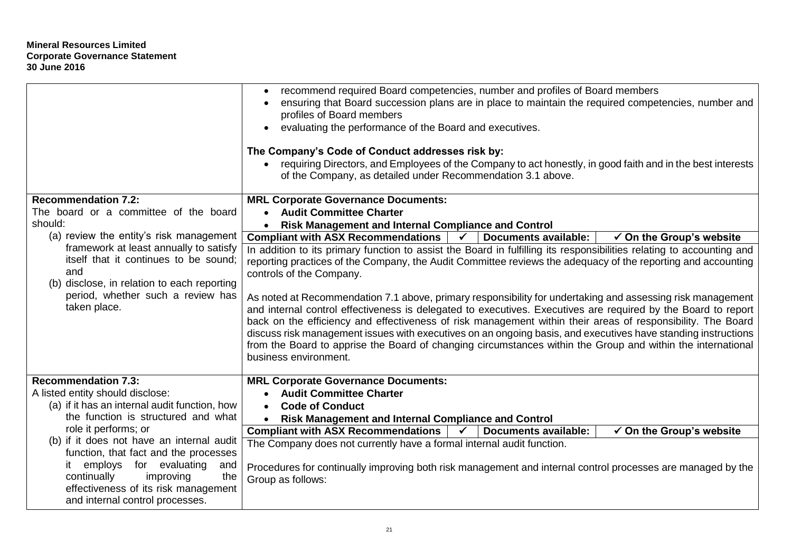|                                                                                                                                                                                                                                      | recommend required Board competencies, number and profiles of Board members<br>$\bullet$<br>ensuring that Board succession plans are in place to maintain the required competencies, number and<br>$\bullet$<br>profiles of Board members<br>evaluating the performance of the Board and executives.<br>The Company's Code of Conduct addresses risk by:<br>requiring Directors, and Employees of the Company to act honestly, in good faith and in the best interests<br>$\bullet$<br>of the Company, as detailed under Recommendation 3.1 above.                                                                                                                                                                                                                                                                                                                                                                                                           |  |  |
|--------------------------------------------------------------------------------------------------------------------------------------------------------------------------------------------------------------------------------------|--------------------------------------------------------------------------------------------------------------------------------------------------------------------------------------------------------------------------------------------------------------------------------------------------------------------------------------------------------------------------------------------------------------------------------------------------------------------------------------------------------------------------------------------------------------------------------------------------------------------------------------------------------------------------------------------------------------------------------------------------------------------------------------------------------------------------------------------------------------------------------------------------------------------------------------------------------------|--|--|
| <b>Recommendation 7.2:</b>                                                                                                                                                                                                           | <b>MRL Corporate Governance Documents:</b>                                                                                                                                                                                                                                                                                                                                                                                                                                                                                                                                                                                                                                                                                                                                                                                                                                                                                                                   |  |  |
| The board or a committee of the board<br>should:                                                                                                                                                                                     | • Audit Committee Charter                                                                                                                                                                                                                                                                                                                                                                                                                                                                                                                                                                                                                                                                                                                                                                                                                                                                                                                                    |  |  |
| (a) review the entity's risk management                                                                                                                                                                                              | <b>Risk Management and Internal Compliance and Control</b><br>$\bullet$<br><b>Documents available:</b><br>$\checkmark$                                                                                                                                                                                                                                                                                                                                                                                                                                                                                                                                                                                                                                                                                                                                                                                                                                       |  |  |
| framework at least annually to satisfy<br>itself that it continues to be sound;<br>and<br>(b) disclose, in relation to each reporting<br>period, whether such a review has<br>taken place.                                           | <b>Compliant with ASX Recommendations</b><br>$\checkmark$ On the Group's website<br>In addition to its primary function to assist the Board in fulfilling its responsibilities relating to accounting and<br>reporting practices of the Company, the Audit Committee reviews the adequacy of the reporting and accounting<br>controls of the Company.<br>As noted at Recommendation 7.1 above, primary responsibility for undertaking and assessing risk management<br>and internal control effectiveness is delegated to executives. Executives are required by the Board to report<br>back on the efficiency and effectiveness of risk management within their areas of responsibility. The Board<br>discuss risk management issues with executives on an ongoing basis, and executives have standing instructions<br>from the Board to apprise the Board of changing circumstances within the Group and within the international<br>business environment. |  |  |
| <b>Recommendation 7.3:</b>                                                                                                                                                                                                           | <b>MRL Corporate Governance Documents:</b>                                                                                                                                                                                                                                                                                                                                                                                                                                                                                                                                                                                                                                                                                                                                                                                                                                                                                                                   |  |  |
| A listed entity should disclose:<br>(a) if it has an internal audit function, how                                                                                                                                                    | <b>Audit Committee Charter</b><br><b>Code of Conduct</b><br>$\bullet$                                                                                                                                                                                                                                                                                                                                                                                                                                                                                                                                                                                                                                                                                                                                                                                                                                                                                        |  |  |
| the function is structured and what                                                                                                                                                                                                  | <b>Risk Management and Internal Compliance and Control</b><br>$\bullet$                                                                                                                                                                                                                                                                                                                                                                                                                                                                                                                                                                                                                                                                                                                                                                                                                                                                                      |  |  |
| role it performs; or                                                                                                                                                                                                                 | <b>Compliant with ASX Recommendations</b><br><b>Documents available:</b><br>$\checkmark$ On the Group's website<br>$\sqrt{2}$                                                                                                                                                                                                                                                                                                                                                                                                                                                                                                                                                                                                                                                                                                                                                                                                                                |  |  |
| (b) if it does not have an internal audit<br>function, that fact and the processes<br>it employs for evaluating<br>and<br>the<br>continually<br>improving<br>effectiveness of its risk management<br>and internal control processes. | The Company does not currently have a formal internal audit function.<br>Procedures for continually improving both risk management and internal control processes are managed by the<br>Group as follows:                                                                                                                                                                                                                                                                                                                                                                                                                                                                                                                                                                                                                                                                                                                                                    |  |  |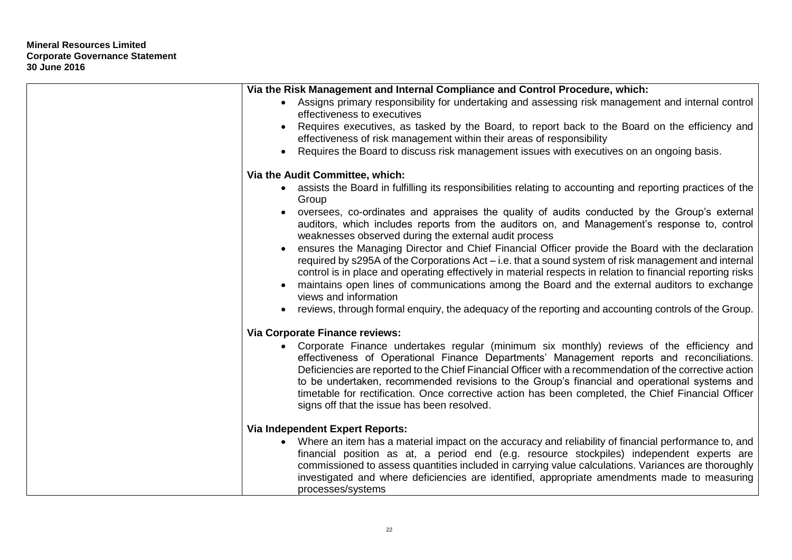| Via the Risk Management and Internal Compliance and Control Procedure, which:                                                                                                                                                                                                                                                                                                                                                                                                                                                                            |
|----------------------------------------------------------------------------------------------------------------------------------------------------------------------------------------------------------------------------------------------------------------------------------------------------------------------------------------------------------------------------------------------------------------------------------------------------------------------------------------------------------------------------------------------------------|
| • Assigns primary responsibility for undertaking and assessing risk management and internal control<br>effectiveness to executives                                                                                                                                                                                                                                                                                                                                                                                                                       |
| Requires executives, as tasked by the Board, to report back to the Board on the efficiency and<br>effectiveness of risk management within their areas of responsibility                                                                                                                                                                                                                                                                                                                                                                                  |
| Requires the Board to discuss risk management issues with executives on an ongoing basis.                                                                                                                                                                                                                                                                                                                                                                                                                                                                |
| Via the Audit Committee, which:                                                                                                                                                                                                                                                                                                                                                                                                                                                                                                                          |
| • assists the Board in fulfilling its responsibilities relating to accounting and reporting practices of the<br>Group                                                                                                                                                                                                                                                                                                                                                                                                                                    |
| oversees, co-ordinates and appraises the quality of audits conducted by the Group's external<br>auditors, which includes reports from the auditors on, and Management's response to, control<br>weaknesses observed during the external audit process                                                                                                                                                                                                                                                                                                    |
| ensures the Managing Director and Chief Financial Officer provide the Board with the declaration<br>required by s295A of the Corporations Act – i.e. that a sound system of risk management and internal<br>control is in place and operating effectively in material respects in relation to financial reporting risks<br>maintains open lines of communications among the Board and the external auditors to exchange<br>views and information                                                                                                         |
| reviews, through formal enguiry, the adequacy of the reporting and accounting controls of the Group.                                                                                                                                                                                                                                                                                                                                                                                                                                                     |
| Via Corporate Finance reviews:                                                                                                                                                                                                                                                                                                                                                                                                                                                                                                                           |
| • Corporate Finance undertakes regular (minimum six monthly) reviews of the efficiency and<br>effectiveness of Operational Finance Departments' Management reports and reconciliations.<br>Deficiencies are reported to the Chief Financial Officer with a recommendation of the corrective action<br>to be undertaken, recommended revisions to the Group's financial and operational systems and<br>timetable for rectification. Once corrective action has been completed, the Chief Financial Officer<br>signs off that the issue has been resolved. |
| <b>Via Independent Expert Reports:</b>                                                                                                                                                                                                                                                                                                                                                                                                                                                                                                                   |
| Where an item has a material impact on the accuracy and reliability of financial performance to, and<br>$\bullet$<br>financial position as at, a period end (e.g. resource stockpiles) independent experts are<br>commissioned to assess quantities included in carrying value calculations. Variances are thoroughly<br>investigated and where deficiencies are identified, appropriate amendments made to measuring<br>processes/systems                                                                                                               |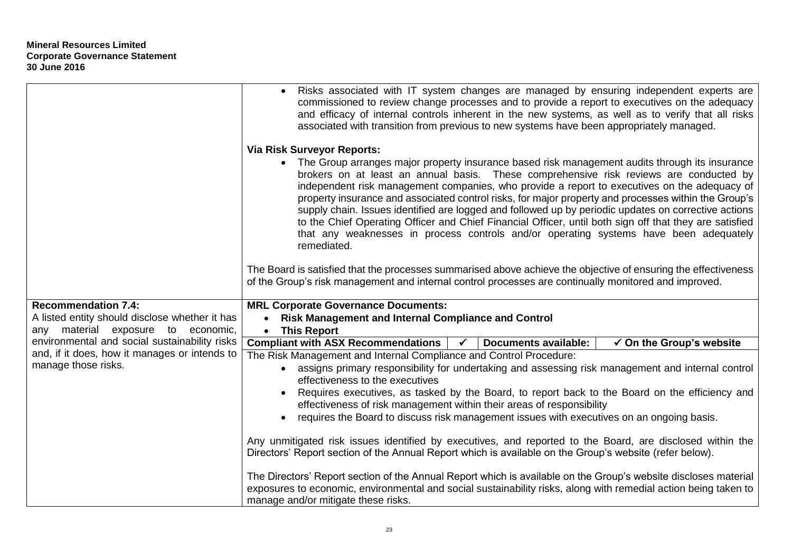|                                                                                      | Risks associated with IT system changes are managed by ensuring independent experts are<br>commissioned to review change processes and to provide a report to executives on the adequacy<br>and efficacy of internal controls inherent in the new systems, as well as to verify that all risks<br>associated with transition from previous to new systems have been appropriately managed.                                                                                                                                                                                                                                                                                                                                    |  |  |
|--------------------------------------------------------------------------------------|-------------------------------------------------------------------------------------------------------------------------------------------------------------------------------------------------------------------------------------------------------------------------------------------------------------------------------------------------------------------------------------------------------------------------------------------------------------------------------------------------------------------------------------------------------------------------------------------------------------------------------------------------------------------------------------------------------------------------------|--|--|
|                                                                                      | <b>Via Risk Surveyor Reports:</b>                                                                                                                                                                                                                                                                                                                                                                                                                                                                                                                                                                                                                                                                                             |  |  |
|                                                                                      | • The Group arranges major property insurance based risk management audits through its insurance<br>brokers on at least an annual basis. These comprehensive risk reviews are conducted by<br>independent risk management companies, who provide a report to executives on the adequacy of<br>property insurance and associated control risks, for major property and processes within the Group's<br>supply chain. Issues identified are logged and followed up by periodic updates on corrective actions<br>to the Chief Operating Officer and Chief Financial Officer, until both sign off that they are satisfied<br>that any weaknesses in process controls and/or operating systems have been adequately<br>remediated. |  |  |
|                                                                                      | The Board is satisfied that the processes summarised above achieve the objective of ensuring the effectiveness<br>of the Group's risk management and internal control processes are continually monitored and improved.                                                                                                                                                                                                                                                                                                                                                                                                                                                                                                       |  |  |
| <b>Recommendation 7.4:</b>                                                           | <b>MRL Corporate Governance Documents:</b>                                                                                                                                                                                                                                                                                                                                                                                                                                                                                                                                                                                                                                                                                    |  |  |
| A listed entity should disclose whether it has<br>any material exposure to economic, | <b>Risk Management and Internal Compliance and Control</b><br>$\bullet$<br><b>This Report</b><br>$\bullet$                                                                                                                                                                                                                                                                                                                                                                                                                                                                                                                                                                                                                    |  |  |
| environmental and social sustainability risks                                        | <b>Compliant with ASX Recommendations</b><br><b>Documents available:</b><br>$\checkmark$ On the Group's website<br>$\sqrt{ }$                                                                                                                                                                                                                                                                                                                                                                                                                                                                                                                                                                                                 |  |  |
| and, if it does, how it manages or intends to                                        | The Risk Management and Internal Compliance and Control Procedure:                                                                                                                                                                                                                                                                                                                                                                                                                                                                                                                                                                                                                                                            |  |  |
| manage those risks.                                                                  | assigns primary responsibility for undertaking and assessing risk management and internal control<br>$\bullet$<br>effectiveness to the executives                                                                                                                                                                                                                                                                                                                                                                                                                                                                                                                                                                             |  |  |
|                                                                                      | Requires executives, as tasked by the Board, to report back to the Board on the efficiency and<br>effectiveness of risk management within their areas of responsibility                                                                                                                                                                                                                                                                                                                                                                                                                                                                                                                                                       |  |  |
|                                                                                      | requires the Board to discuss risk management issues with executives on an ongoing basis.                                                                                                                                                                                                                                                                                                                                                                                                                                                                                                                                                                                                                                     |  |  |
|                                                                                      | Any unmitigated risk issues identified by executives, and reported to the Board, are disclosed within the<br>Directors' Report section of the Annual Report which is available on the Group's website (refer below).                                                                                                                                                                                                                                                                                                                                                                                                                                                                                                          |  |  |
|                                                                                      | The Directors' Report section of the Annual Report which is available on the Group's website discloses material<br>exposures to economic, environmental and social sustainability risks, along with remedial action being taken to<br>manage and/or mitigate these risks.                                                                                                                                                                                                                                                                                                                                                                                                                                                     |  |  |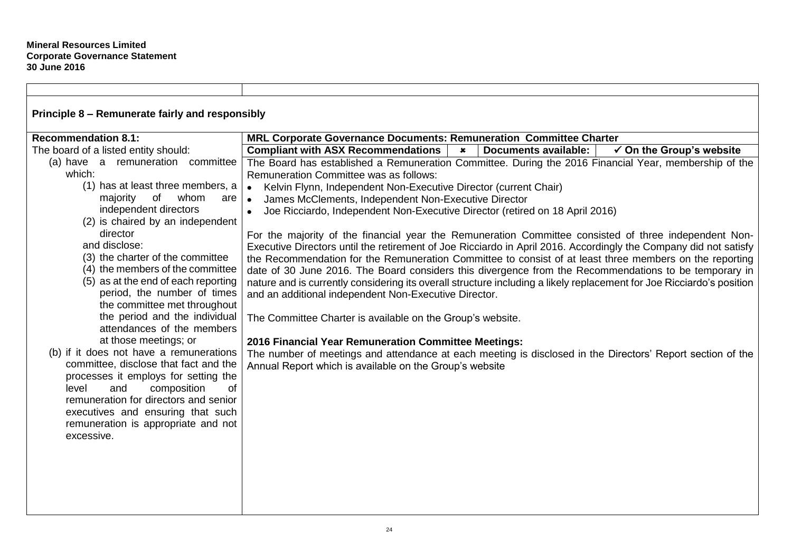| Principle 8 - Remunerate fairly and responsibly                         |                                                                                                                       |                                     |  |  |
|-------------------------------------------------------------------------|-----------------------------------------------------------------------------------------------------------------------|-------------------------------------|--|--|
| <b>Recommendation 8.1:</b>                                              | MRL Corporate Governance Documents: Remuneration Committee Charter                                                    |                                     |  |  |
| The board of a listed entity should:                                    | <b>Compliant with ASX Recommendations</b><br><b>Documents available:</b><br>$\mathbf x$                               | $\checkmark$ On the Group's website |  |  |
| (a) have a remuneration committee                                       | The Board has established a Remuneration Committee. During the 2016 Financial Year, membership of the                 |                                     |  |  |
| which:                                                                  | Remuneration Committee was as follows:                                                                                |                                     |  |  |
| (1) has at least three members, a                                       | Kelvin Flynn, Independent Non-Executive Director (current Chair)<br>$\bullet$                                         |                                     |  |  |
| majority<br>of<br>whom<br>are                                           | James McClements, Independent Non-Executive Director<br>$\bullet$                                                     |                                     |  |  |
| independent directors                                                   | Joe Ricciardo, Independent Non-Executive Director (retired on 18 April 2016)<br>$\bullet$                             |                                     |  |  |
| (2) is chaired by an independent                                        |                                                                                                                       |                                     |  |  |
| director                                                                | For the majority of the financial year the Remuneration Committee consisted of three independent Non-                 |                                     |  |  |
| and disclose:                                                           | Executive Directors until the retirement of Joe Ricciardo in April 2016. Accordingly the Company did not satisfy      |                                     |  |  |
| (3) the charter of the committee                                        | the Recommendation for the Remuneration Committee to consist of at least three members on the reporting               |                                     |  |  |
| (4) the members of the committee<br>(5) as at the end of each reporting | date of 30 June 2016. The Board considers this divergence from the Recommendations to be temporary in                 |                                     |  |  |
| period, the number of times                                             | nature and is currently considering its overall structure including a likely replacement for Joe Ricciardo's position |                                     |  |  |
| the committee met throughout                                            | and an additional independent Non-Executive Director.                                                                 |                                     |  |  |
| the period and the individual                                           |                                                                                                                       |                                     |  |  |
| attendances of the members                                              | The Committee Charter is available on the Group's website.                                                            |                                     |  |  |
| at those meetings; or                                                   | 2016 Financial Year Remuneration Committee Meetings:                                                                  |                                     |  |  |
| (b) if it does not have a remunerations                                 | The number of meetings and attendance at each meeting is disclosed in the Directors' Report section of the            |                                     |  |  |
| committee, disclose that fact and the                                   | Annual Report which is available on the Group's website                                                               |                                     |  |  |
| processes it employs for setting the                                    |                                                                                                                       |                                     |  |  |
| of<br>level<br>composition<br>and                                       |                                                                                                                       |                                     |  |  |
| remuneration for directors and senior                                   |                                                                                                                       |                                     |  |  |
| executives and ensuring that such                                       |                                                                                                                       |                                     |  |  |
| remuneration is appropriate and not                                     |                                                                                                                       |                                     |  |  |
| excessive.                                                              |                                                                                                                       |                                     |  |  |
|                                                                         |                                                                                                                       |                                     |  |  |
|                                                                         |                                                                                                                       |                                     |  |  |
|                                                                         |                                                                                                                       |                                     |  |  |
|                                                                         |                                                                                                                       |                                     |  |  |
|                                                                         |                                                                                                                       |                                     |  |  |